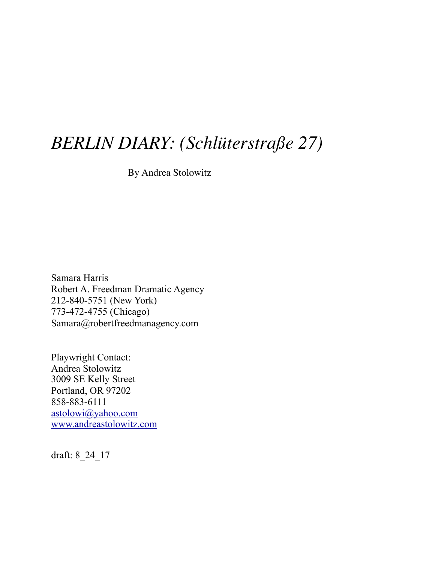# *BERLIN DIARY: (Schlüterstraße 27)*

By Andrea Stolowitz

Samara Harris Robert A. Freedman Dramatic Agency 212-840-5751 (New York) 773-472-4755 (Chicago) [Samara@robertfreedmanagency.com](mailto:Samara@robertfreedmanagency.com)

Playwright Contact: Andrea Stolowitz 3009 SE Kelly Street Portland, OR 97202 858-883-6111 [astolowi@yahoo.com](mailto:astolowi@yahoo.com) [www.andreastolowitz.com](http://www.andreastolowitz.com)

draft: 8\_24\_17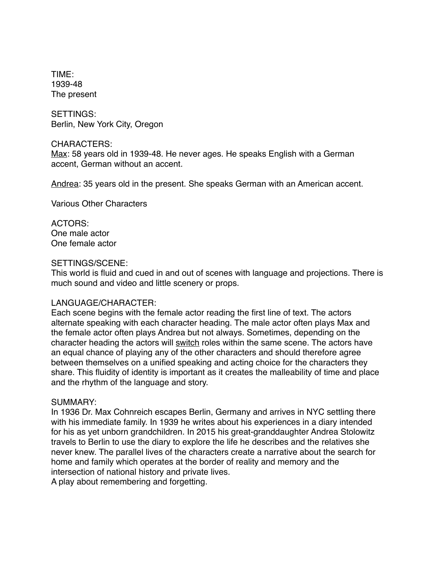TIME: 1939-48 The present

SETTINGS: Berlin, New York City, Oregon

## CHARACTERS:

Max: 58 years old in 1939-48. He never ages. He speaks English with a German accent, German without an accent.

Andrea: 35 years old in the present. She speaks German with an American accent.

Various Other Characters

ACTORS: One male actor One female actor

## SETTINGS/SCENE:

This world is fluid and cued in and out of scenes with language and projections. There is much sound and video and little scenery or props.

## LANGUAGE/CHARACTER:

Each scene begins with the female actor reading the first line of text. The actors alternate speaking with each character heading. The male actor often plays Max and the female actor often plays Andrea but not always. Sometimes, depending on the character heading the actors will switch roles within the same scene. The actors have an equal chance of playing any of the other characters and should therefore agree between themselves on a unified speaking and acting choice for the characters they share. This fluidity of identity is important as it creates the malleability of time and place and the rhythm of the language and story.

## SUMMARY:

In 1936 Dr. Max Cohnreich escapes Berlin, Germany and arrives in NYC settling there with his immediate family. In 1939 he writes about his experiences in a diary intended for his as yet unborn grandchildren. In 2015 his great-granddaughter Andrea Stolowitz travels to Berlin to use the diary to explore the life he describes and the relatives she never knew. The parallel lives of the characters create a narrative about the search for home and family which operates at the border of reality and memory and the intersection of national history and private lives.

A play about remembering and forgetting.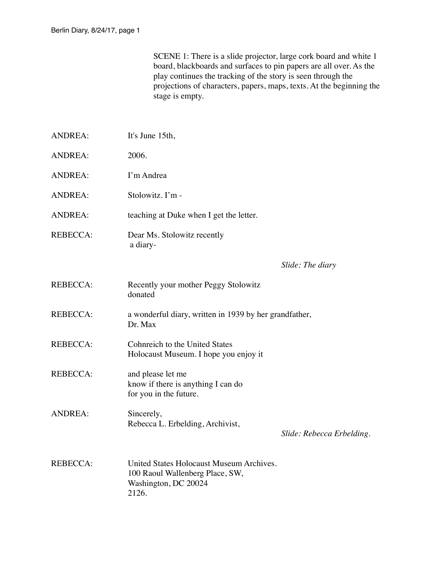SCENE 1: There is a slide projector, large cork board and white 1 board, blackboards and surfaces to pin papers are all over. As the play continues the tracking of the story is seen through the projections of characters, papers, maps, texts. At the beginning the stage is empty.

| <b>ANDREA:</b>  | It's June 15th,                                                                                              |                           |
|-----------------|--------------------------------------------------------------------------------------------------------------|---------------------------|
| <b>ANDREA:</b>  | 2006.                                                                                                        |                           |
| <b>ANDREA:</b>  | I'm Andrea                                                                                                   |                           |
| <b>ANDREA:</b>  | Stolowitz. I'm -                                                                                             |                           |
| <b>ANDREA:</b>  | teaching at Duke when I get the letter.                                                                      |                           |
| REBECCA:        | Dear Ms. Stolowitz recently<br>a diary-                                                                      |                           |
|                 |                                                                                                              | Slide: The diary          |
| <b>REBECCA:</b> | Recently your mother Peggy Stolowitz<br>donated                                                              |                           |
| <b>REBECCA:</b> | a wonderful diary, written in 1939 by her grandfather,<br>Dr. Max                                            |                           |
| <b>REBECCA:</b> | Cohnreich to the United States<br>Holocaust Museum. I hope you enjoy it                                      |                           |
| <b>REBECCA:</b> | and please let me<br>know if there is anything I can do<br>for you in the future.                            |                           |
| <b>ANDREA:</b>  | Sincerely,<br>Rebecca L. Erbelding, Archivist,                                                               | Slide: Rebecca Erbelding. |
| <b>REBECCA:</b> | United States Holocaust Museum Archives.<br>100 Raoul Wallenberg Place, SW,<br>Washington, DC 20024<br>2126. |                           |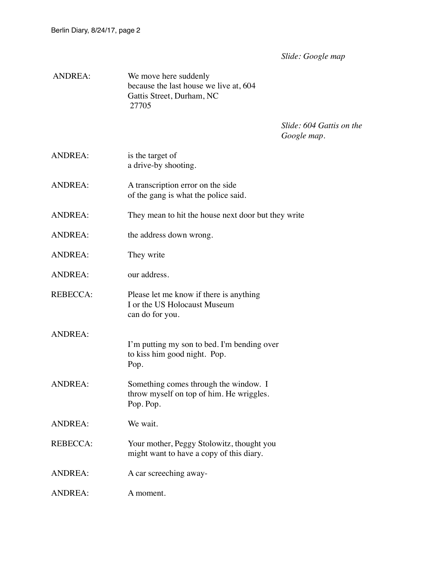*Slide: Google map*

| <b>ANDREA:</b> | We move here suddenly<br>because the last house we live at, 604<br>Gattis Street, Durham, NC<br>27705 |  |
|----------------|-------------------------------------------------------------------------------------------------------|--|
|                | Slide: 604 Gattis on the<br>Google map.                                                               |  |
| <b>ANDREA:</b> | is the target of<br>a drive-by shooting.                                                              |  |
| <b>ANDREA:</b> | A transcription error on the side<br>of the gang is what the police said.                             |  |
| <b>ANDREA:</b> | They mean to hit the house next door but they write                                                   |  |
| <b>ANDREA:</b> | the address down wrong.                                                                               |  |
| <b>ANDREA:</b> | They write                                                                                            |  |
| <b>ANDREA:</b> | our address.                                                                                          |  |
| REBECCA:       | Please let me know if there is anything<br>I or the US Holocaust Museum<br>can do for you.            |  |
| <b>ANDREA:</b> | I'm putting my son to bed. I'm bending over<br>to kiss him good night. Pop.<br>Pop.                   |  |
| <b>ANDREA:</b> | Something comes through the window. I<br>throw myself on top of him. He wriggles.<br>Pop. Pop.        |  |
| <b>ANDREA:</b> | We wait.                                                                                              |  |
| REBECCA:       | Your mother, Peggy Stolowitz, thought you<br>might want to have a copy of this diary.                 |  |
| <b>ANDREA:</b> | A car screeching away-                                                                                |  |
| <b>ANDREA:</b> | A moment.                                                                                             |  |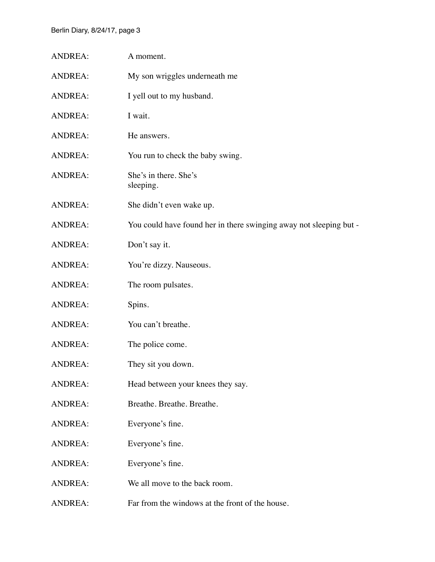| <b>ANDREA:</b> | A moment.                                                          |
|----------------|--------------------------------------------------------------------|
| <b>ANDREA:</b> | My son wriggles underneath me                                      |
| <b>ANDREA:</b> | I yell out to my husband.                                          |
| <b>ANDREA:</b> | I wait.                                                            |
| <b>ANDREA:</b> | He answers.                                                        |
| <b>ANDREA:</b> | You run to check the baby swing.                                   |
| <b>ANDREA:</b> | She's in there. She's<br>sleeping.                                 |
| <b>ANDREA:</b> | She didn't even wake up.                                           |
| <b>ANDREA:</b> | You could have found her in there swinging away not sleeping but - |
| <b>ANDREA:</b> | Don't say it.                                                      |
| <b>ANDREA:</b> | You're dizzy. Nauseous.                                            |
| <b>ANDREA:</b> | The room pulsates.                                                 |
| <b>ANDREA:</b> | Spins.                                                             |
| <b>ANDREA:</b> | You can't breathe.                                                 |
| <b>ANDREA:</b> | The police come.                                                   |
| <b>ANDREA:</b> | They sit you down.                                                 |
| <b>ANDREA:</b> | Head between your knees they say.                                  |
| <b>ANDREA:</b> | Breathe. Breathe. Breathe.                                         |
| <b>ANDREA:</b> | Everyone's fine.                                                   |
| <b>ANDREA:</b> | Everyone's fine.                                                   |
| <b>ANDREA:</b> | Everyone's fine.                                                   |
| <b>ANDREA:</b> | We all move to the back room.                                      |
| <b>ANDREA:</b> | Far from the windows at the front of the house.                    |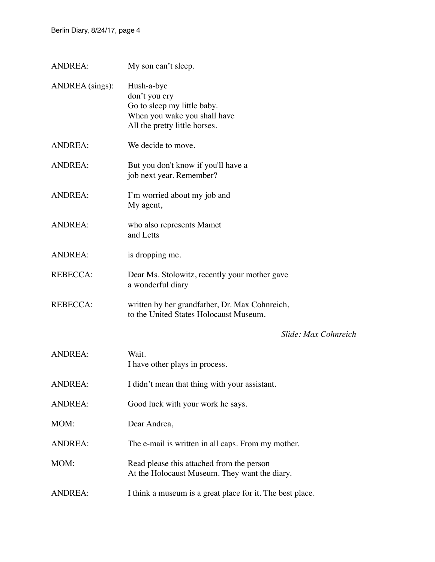| <b>ANDREA:</b>         | My son can't sleep.                                                                                                         |
|------------------------|-----------------------------------------------------------------------------------------------------------------------------|
| <b>ANDREA</b> (sings): | Hush-a-bye<br>don't you cry<br>Go to sleep my little baby.<br>When you wake you shall have<br>All the pretty little horses. |
| <b>ANDREA:</b>         | We decide to move.                                                                                                          |
| <b>ANDREA:</b>         | But you don't know if you'll have a<br>job next year. Remember?                                                             |
| <b>ANDREA:</b>         | I'm worried about my job and<br>My agent,                                                                                   |
| <b>ANDREA:</b>         | who also represents Mamet<br>and Letts                                                                                      |
| <b>ANDREA:</b>         | is dropping me.                                                                                                             |
| REBECCA:               | Dear Ms. Stolowitz, recently your mother gave<br>a wonderful diary                                                          |
| <b>REBECCA:</b>        | written by her grandfather, Dr. Max Cohnreich,<br>to the United States Holocaust Museum.                                    |
|                        | Slide: Max Cohnreich                                                                                                        |
| <b>ANDREA:</b>         | Wait.<br>I have other plays in process.                                                                                     |
| <b>ANDREA:</b>         | I didn't mean that thing with your assistant.                                                                               |
| <b>ANDREA:</b>         | Good luck with your work he says.                                                                                           |
| MOM:                   | Dear Andrea,                                                                                                                |
| <b>ANDREA:</b>         | The e-mail is written in all caps. From my mother.                                                                          |
| MOM:                   | Read please this attached from the person<br>At the Holocaust Museum. They want the diary.                                  |
| <b>ANDREA:</b>         | I think a museum is a great place for it. The best place.                                                                   |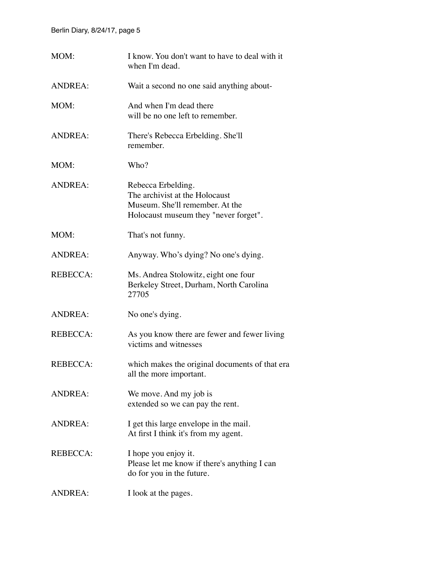| MOM:            | I know. You don't want to have to deal with it<br>when I'm dead.                                                                 |
|-----------------|----------------------------------------------------------------------------------------------------------------------------------|
| <b>ANDREA:</b>  | Wait a second no one said anything about-                                                                                        |
| MOM:            | And when I'm dead there<br>will be no one left to remember.                                                                      |
| <b>ANDREA:</b>  | There's Rebecca Erbelding. She'll<br>remember.                                                                                   |
| MOM:            | Who?                                                                                                                             |
| <b>ANDREA:</b>  | Rebecca Erbelding.<br>The archivist at the Holocaust<br>Museum. She'll remember. At the<br>Holocaust museum they "never forget". |
| MOM:            | That's not funny.                                                                                                                |
| <b>ANDREA:</b>  | Anyway. Who's dying? No one's dying.                                                                                             |
| REBECCA:        | Ms. Andrea Stolowitz, eight one four<br>Berkeley Street, Durham, North Carolina<br>27705                                         |
| <b>ANDREA:</b>  | No one's dying.                                                                                                                  |
| <b>REBECCA:</b> | As you know there are fewer and fewer living<br>victims and witnesses                                                            |
| REBECCA:        | which makes the original documents of that era<br>all the more important.                                                        |
| <b>ANDREA:</b>  | We move. And my job is<br>extended so we can pay the rent.                                                                       |
| <b>ANDREA:</b>  | I get this large envelope in the mail.<br>At first I think it's from my agent.                                                   |
| REBECCA:        | I hope you enjoy it.<br>Please let me know if there's anything I can<br>do for you in the future.                                |
| <b>ANDREA:</b>  | I look at the pages.                                                                                                             |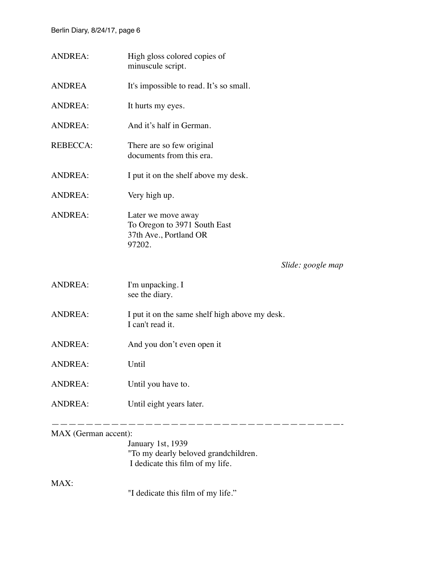ANDREA: High gloss colored copies of minuscule script. ANDREA It's impossible to read. It's so small. ANDREA: It hurts my eyes. ANDREA: And it's half in German. REBECCA: There are so few original documents from this era. ANDREA: I put it on the shelf above my desk. ANDREA: Very high up. ANDREA: Later we move away To Oregon to 3971 South East 37th Ave., Portland OR 97202. *Slide: google map* ANDREA: I'm unpacking. I see the diary. ANDREA: I put it on the same shelf high above my desk. I can't read it. ANDREA: And you don't even open it ANDREA: Until ANDREA: Until you have to. ANDREA: Until eight years later. ——————————————————————————————————- MAX (German accent):

 January 1st, 1939 "To my dearly beloved grandchildren. I dedicate this film of my life.

# MAX:

"I dedicate this film of my life."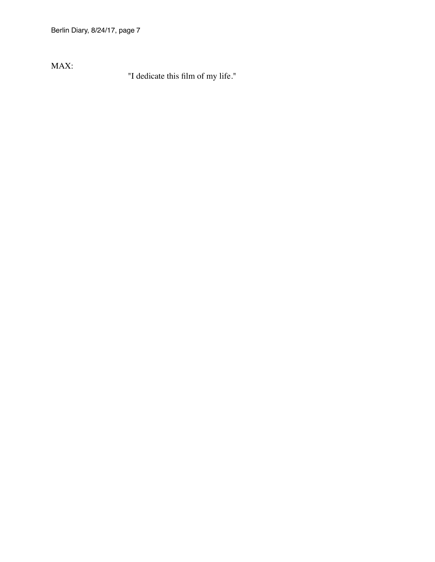Berlin Diary, 8/24/17, page 7

MAX:

"I dedicate this film of my life."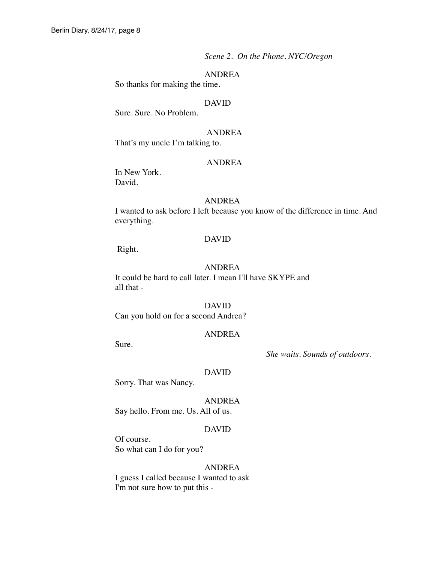*Scene 2. On the Phone. NYC/Oregon* 

## ANDREA

So thanks for making the time.

#### DAVID

Sure. Sure. No Problem.

## ANDREA

That's my uncle I'm talking to.

#### ANDREA

In New York. David.

#### ANDREA

I wanted to ask before I left because you know of the difference in time. And everything.

#### DAVID

Right.

#### ANDREA

It could be hard to call later. I mean I'll have SKYPE and all that -

#### DAVID

Can you hold on for a second Andrea?

#### ANDREA

Sure.

#### *She waits. Sounds of outdoors.*

#### DAVID

Sorry. That was Nancy.

ANDREA Say hello. From me. Us. All of us.

## DAVID

Of course. So what can I do for you?

## ANDREA

I guess I called because I wanted to ask I'm not sure how to put this -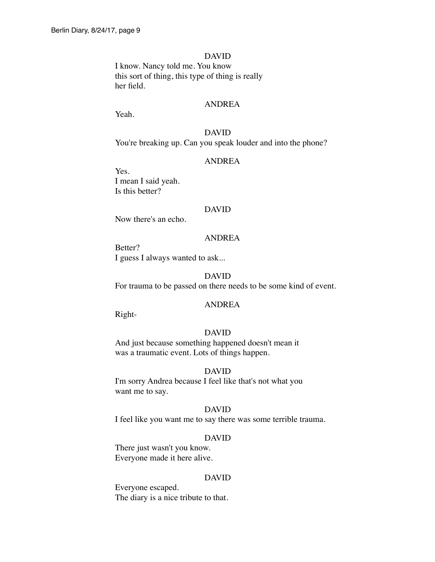#### DAVID

I know. Nancy told me. You know this sort of thing, this type of thing is really her field.

#### ANDREA

Yeah.

#### DAVID

You're breaking up. Can you speak louder and into the phone?

#### ANDREA

Yes. I mean I said yeah. Is this better?

#### DAVID

Now there's an echo.

## ANDREA

Better? I guess I always wanted to ask...

#### DAVID

For trauma to be passed on there needs to be some kind of event.

## ANDREA

Right-

## DAVID

And just because something happened doesn't mean it was a traumatic event. Lots of things happen.

#### DAVID

I'm sorry Andrea because I feel like that's not what you want me to say.

#### DAVID

I feel like you want me to say there was some terrible trauma.

#### DAVID

There just wasn't you know. Everyone made it here alive.

#### DAVID

Everyone escaped. The diary is a nice tribute to that.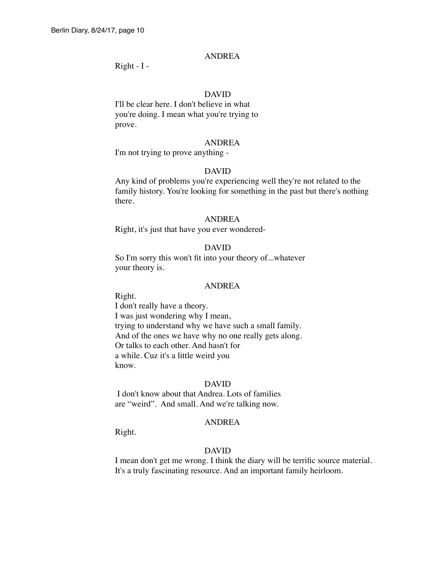#### ANDREA

Right - I -

#### DAVID

I'll be clear here. I don't believe in what you're doing. I mean what you're trying to prove.

## ANDREA

I'm not trying to prove anything -

## DAVID

Any kind of problems you're experiencing well they're not related to the family history. You're looking for something in the past but there's nothing there.

#### ANDREA

Right, it's just that have you ever wondered-

## DAVID

So I'm sorry this won't fit into your theory of...whatever your theory is.

#### ANDREA

Right.

I don't really have a theory. I was just wondering why I mean, trying to understand why we have such a small family. And of the ones we have why no one really gets along. Or talks to each other. And hasn't for a while. Cuz it's a little weird you know.

#### DAVID

 I don't know about that Andrea. Lots of families are "weird". And small. And we're talking now.

#### ANDREA

Right.

## DAVID

I mean don't get me wrong. I think the diary will be terrific source material. It's a truly fascinating resource. And an important family heirloom.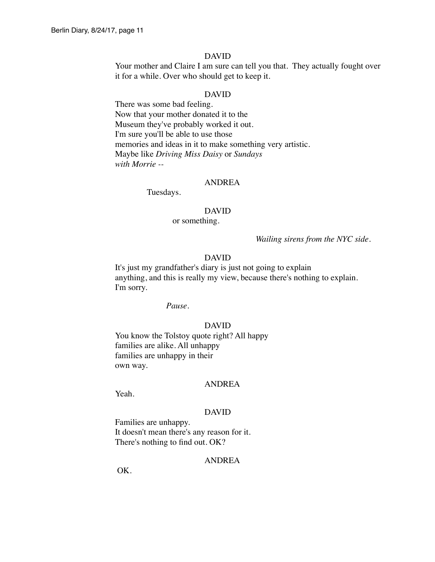#### DAVID

Your mother and Claire I am sure can tell you that. They actually fought over it for a while. Over who should get to keep it.

## DAVID

There was some bad feeling. Now that your mother donated it to the Museum they've probably worked it out. I'm sure you'll be able to use those memories and ideas in it to make something very artistic. Maybe like *Driving Miss Daisy* or *Sundays with Morrie --*

#### ANDREA

Tuesdays.

## DAVID

or something.

*Wailing sirens from the NYC side.*

## DAVID

It's just my grandfather's diary is just not going to explain anything, and this is really my view, because there's nothing to explain. I'm sorry.

*Pause.*

## DAVID

You know the Tolstoy quote right? All happy families are alike. All unhappy families are unhappy in their own way.

#### ANDREA

Yeah.

#### DAVID

Families are unhappy. It doesn't mean there's any reason for it. There's nothing to find out. OK?

#### ANDREA

OK.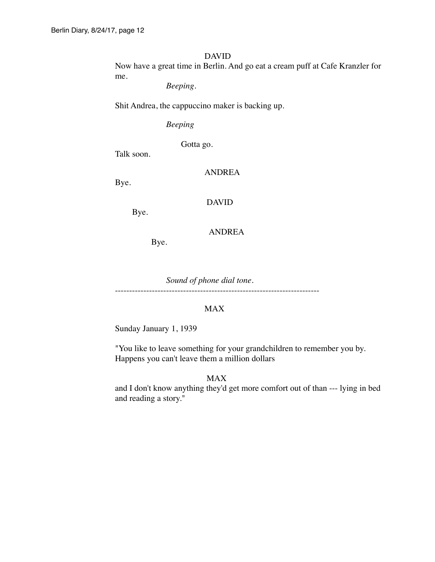## DAVID

Now have a great time in Berlin. And go eat a cream puff at Cafe Kranzler for me.

*Beeping.*

Shit Andrea, the cappuccino maker is backing up.

*Beeping*

Gotta go.

Talk soon.

## ANDREA

Bye.

#### DAVID

Bye.

## ANDREA

Bye.

*Sound of phone dial tone.* 

------------------------------------------------------------------------

## MAX

Sunday January 1, 1939

"You like to leave something for your grandchildren to remember you by. Happens you can't leave them a million dollars

## MAX

and I don't know anything they'd get more comfort out of than --- lying in bed and reading a story."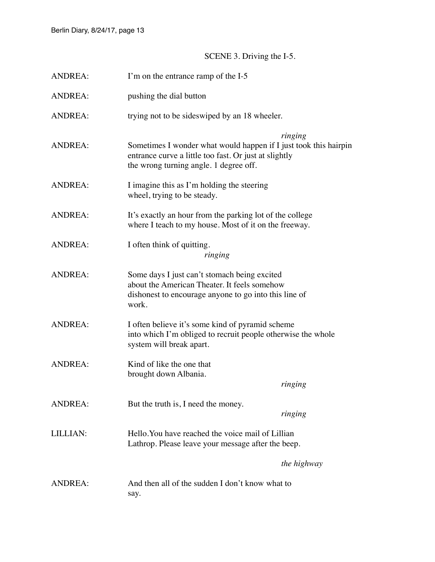# SCENE 3. Driving the I-5.

| <b>ANDREA:</b> | I'm on the entrance ramp of the I-5                                                                                                                                            |
|----------------|--------------------------------------------------------------------------------------------------------------------------------------------------------------------------------|
| <b>ANDREA:</b> | pushing the dial button                                                                                                                                                        |
| <b>ANDREA:</b> | trying not to be sideswiped by an 18 wheeler.                                                                                                                                  |
| <b>ANDREA:</b> | ringing<br>Sometimes I wonder what would happen if I just took this hairpin<br>entrance curve a little too fast. Or just at slightly<br>the wrong turning angle. 1 degree off. |
| <b>ANDREA:</b> | I imagine this as I'm holding the steering<br>wheel, trying to be steady.                                                                                                      |
| <b>ANDREA:</b> | It's exactly an hour from the parking lot of the college<br>where I teach to my house. Most of it on the freeway.                                                              |
| <b>ANDREA:</b> | I often think of quitting.<br>ringing                                                                                                                                          |
| <b>ANDREA:</b> | Some days I just can't stomach being excited<br>about the American Theater. It feels somehow<br>dishonest to encourage anyone to go into this line of<br>work.                 |
| <b>ANDREA:</b> | I often believe it's some kind of pyramid scheme<br>into which I'm obliged to recruit people otherwise the whole<br>system will break apart.                                   |
| <b>ANDREA:</b> | Kind of like the one that<br>brought down Albania.<br>ringing                                                                                                                  |
| <b>ANDREA:</b> | But the truth is, I need the money.<br>ringing                                                                                                                                 |
| LILLIAN:       | Hello. You have reached the voice mail of Lillian<br>Lathrop. Please leave your message after the beep.                                                                        |
|                | the highway                                                                                                                                                                    |
| <b>ANDREA:</b> | And then all of the sudden I don't know what to<br>say.                                                                                                                        |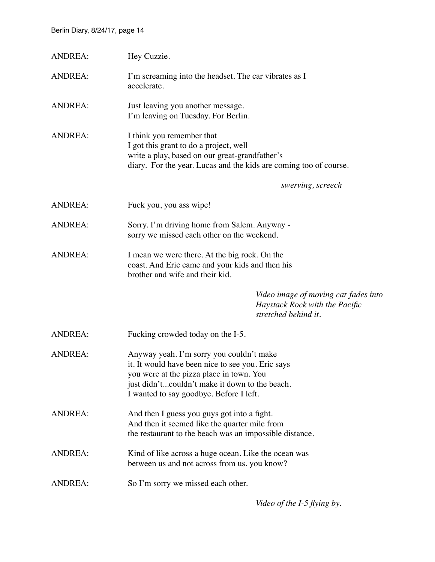| <b>ANDREA:</b> | Hey Cuzzie.                                                                                                                                                                                                                            |
|----------------|----------------------------------------------------------------------------------------------------------------------------------------------------------------------------------------------------------------------------------------|
| <b>ANDREA:</b> | I'm screaming into the headset. The car vibrates as I<br>accelerate.                                                                                                                                                                   |
| <b>ANDREA:</b> | Just leaving you another message.<br>I'm leaving on Tuesday. For Berlin.                                                                                                                                                               |
| <b>ANDREA:</b> | I think you remember that<br>I got this grant to do a project, well<br>write a play, based on our great-grandfather's<br>diary. For the year. Lucas and the kids are coming too of course.                                             |
|                | swerving, screech                                                                                                                                                                                                                      |
| <b>ANDREA:</b> | Fuck you, you ass wipe!                                                                                                                                                                                                                |
| <b>ANDREA:</b> | Sorry. I'm driving home from Salem. Anyway -<br>sorry we missed each other on the weekend.                                                                                                                                             |
| <b>ANDREA:</b> | I mean we were there. At the big rock. On the<br>coast. And Eric came and your kids and then his<br>brother and wife and their kid.                                                                                                    |
|                | Video image of moving car fades into<br>Haystack Rock with the Pacific<br>stretched behind it.                                                                                                                                         |
| <b>ANDREA:</b> | Fucking crowded today on the I-5.                                                                                                                                                                                                      |
| <b>ANDREA:</b> | Anyway yeah. I'm sorry you couldn't make<br>it. It would have been nice to see you. Eric says<br>you were at the pizza place in town. You<br>just didn'tcouldn't make it down to the beach.<br>I wanted to say goodbye. Before I left. |
| <b>ANDREA:</b> | And then I guess you guys got into a fight.<br>And then it seemed like the quarter mile from<br>the restaurant to the beach was an impossible distance.                                                                                |
| <b>ANDREA:</b> | Kind of like across a huge ocean. Like the ocean was<br>between us and not across from us, you know?                                                                                                                                   |
| <b>ANDREA:</b> | So I'm sorry we missed each other.                                                                                                                                                                                                     |
|                |                                                                                                                                                                                                                                        |

*Video of the I-5 flying by.*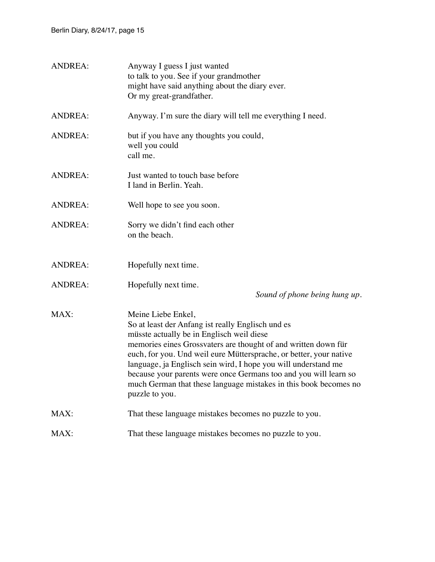| <b>ANDREA:</b> | Anyway I guess I just wanted<br>to talk to you. See if your grandmother                                                                                                                                                                                                                                                                                                                                                                                                                  |
|----------------|------------------------------------------------------------------------------------------------------------------------------------------------------------------------------------------------------------------------------------------------------------------------------------------------------------------------------------------------------------------------------------------------------------------------------------------------------------------------------------------|
|                | might have said anything about the diary ever.                                                                                                                                                                                                                                                                                                                                                                                                                                           |
|                | Or my great-grandfather.                                                                                                                                                                                                                                                                                                                                                                                                                                                                 |
| <b>ANDREA:</b> | Anyway. I'm sure the diary will tell me everything I need.                                                                                                                                                                                                                                                                                                                                                                                                                               |
| <b>ANDREA:</b> | but if you have any thoughts you could,<br>well you could<br>call me.                                                                                                                                                                                                                                                                                                                                                                                                                    |
| <b>ANDREA:</b> | Just wanted to touch base before<br>I land in Berlin. Yeah.                                                                                                                                                                                                                                                                                                                                                                                                                              |
| <b>ANDREA:</b> | Well hope to see you soon.                                                                                                                                                                                                                                                                                                                                                                                                                                                               |
| <b>ANDREA:</b> | Sorry we didn't find each other<br>on the beach.                                                                                                                                                                                                                                                                                                                                                                                                                                         |
| <b>ANDREA:</b> | Hopefully next time.                                                                                                                                                                                                                                                                                                                                                                                                                                                                     |
| <b>ANDREA:</b> | Hopefully next time.<br>Sound of phone being hung up.                                                                                                                                                                                                                                                                                                                                                                                                                                    |
| MAX:           | Meine Liebe Enkel,<br>So at least der Anfang ist really Englisch und es<br>müsste actually be in Englisch weil diese<br>memories eines Grossvaters are thought of and written down für<br>euch, for you. Und weil eure Müttersprache, or better, your native<br>language, ja Englisch sein wird, I hope you will understand me<br>because your parents were once Germans too and you will learn so<br>much German that these language mistakes in this book becomes no<br>puzzle to you. |
| MAX:           | That these language mistakes becomes no puzzle to you.                                                                                                                                                                                                                                                                                                                                                                                                                                   |
| MAX:           | That these language mistakes becomes no puzzle to you.                                                                                                                                                                                                                                                                                                                                                                                                                                   |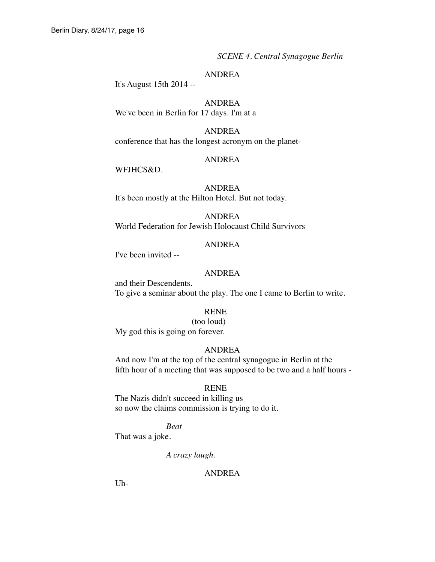## *SCENE 4. Central Synagogue Berlin*

## ANDREA

It's August 15th 2014 --

## ANDREA We've been in Berlin for 17 days. I'm at a

## ANDREA

conference that has the longest acronym on the planet-

## ANDREA

WFJHCS&D.

## ANDREA

It's been mostly at the Hilton Hotel. But not today.

# ANDREA

World Federation for Jewish Holocaust Child Survivors

## ANDREA

I've been invited --

## ANDREA

and their Descendents. To give a seminar about the play. The one I came to Berlin to write.

#### RENE

(too loud) My god this is going on forever.

## ANDREA

And now I'm at the top of the central synagogue in Berlin at the fifth hour of a meeting that was supposed to be two and a half hours -

## RENE

The Nazis didn't succeed in killing us so now the claims commission is trying to do it.

#### *Beat*

That was a joke.

## *A crazy laugh.*

## ANDREA

Uh-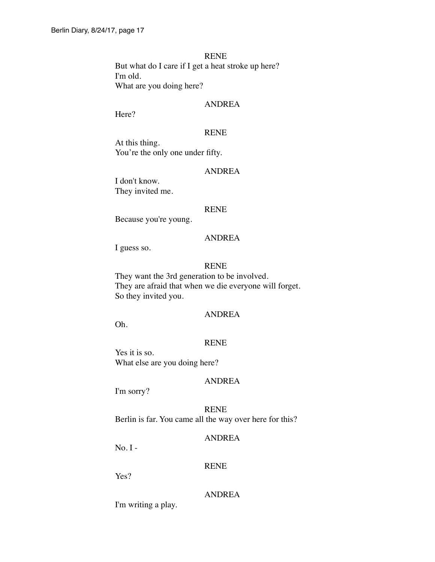RENE But what do I care if I get a heat stroke up here? I'm old. What are you doing here?

## ANDREA

Here?

#### RENE

At this thing. You're the only one under fifty.

#### ANDREA

I don't know. They invited me.

#### RENE

Because you're young.

## ANDREA

I guess so.

## RENE

They want the 3rd generation to be involved. They are afraid that when we die everyone will forget. So they invited you.

## ANDREA

Oh.

#### RENE

Yes it is so. What else are you doing here?

#### ANDREA

I'm sorry?

RENE Berlin is far. You came all the way over here for this?

## ANDREA

No. I -

## RENE

Yes?

#### ANDREA

I'm writing a play.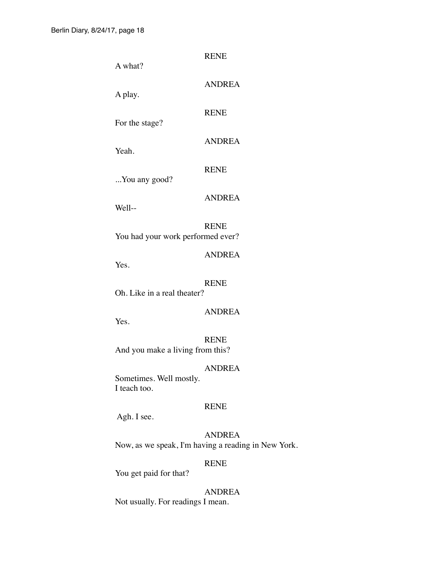RENE

A what?

ANDREA

A play.

## RENE

For the stage?

ANDREA

Yeah.

RENE

...You any good?

# ANDREA

Well--

RENE You had your work performed ever?

ANDREA

Yes.

RENE

Oh. Like in a real theater?

## ANDREA

Yes.

RENE And you make a living from this?

## ANDREA

Sometimes. Well mostly. I teach too.

## RENE

Agh. I see.

ANDREA Now, as we speak, I'm having a reading in New York.

## RENE

You get paid for that?

## ANDREA

Not usually. For readings I mean.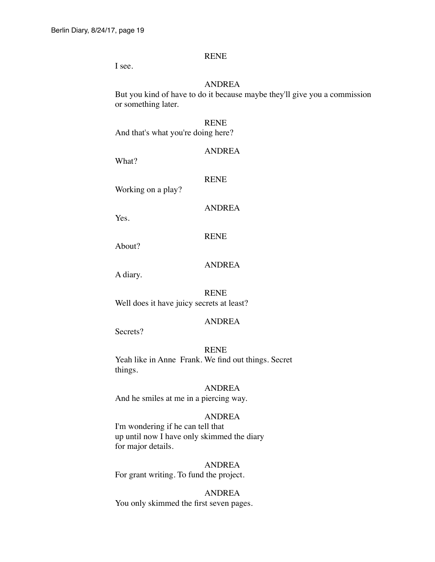#### RENE

I see.

## ANDREA

But you kind of have to do it because maybe they'll give you a commission or something later.

#### RENE

And that's what you're doing here?

ANDREA

What?

## RENE

Working on a play?

#### ANDREA

Yes.

RENE

About?

#### ANDREA

A diary.

RENE Well does it have juicy secrets at least?

## ANDREA

Secrets?

#### RENE

Yeah like in Anne Frank. We find out things. Secret things.

## ANDREA

And he smiles at me in a piercing way.

#### ANDREA

I'm wondering if he can tell that up until now I have only skimmed the diary for major details.

## ANDREA

For grant writing. To fund the project.

## ANDREA

You only skimmed the first seven pages.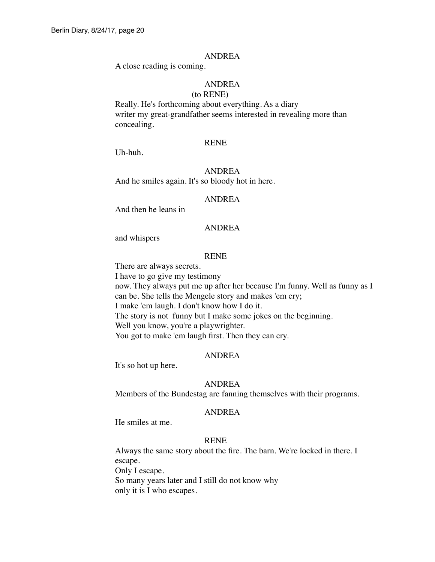#### ANDREA

A close reading is coming.

## ANDREA

#### (to RENE)

Really. He's forthcoming about everything. As a diary writer my great-grandfather seems interested in revealing more than concealing.

#### RENE

Uh-huh.

#### ANDREA

And he smiles again. It's so bloody hot in here.

## ANDREA

And then he leans in

## ANDREA

and whispers

#### RENE

There are always secrets.

I have to go give my testimony

now. They always put me up after her because I'm funny. Well as funny as I can be. She tells the Mengele story and makes 'em cry; I make 'em laugh. I don't know how I do it. The story is not funny but I make some jokes on the beginning. Well you know, you're a playwrighter. You got to make 'em laugh first. Then they can cry.

## ANDREA

It's so hot up here.

#### ANDREA

Members of the Bundestag are fanning themselves with their programs.

#### ANDREA

He smiles at me.

## RENE

Always the same story about the fire. The barn. We're locked in there. I escape. Only I escape. So many years later and I still do not know why

only it is I who escapes.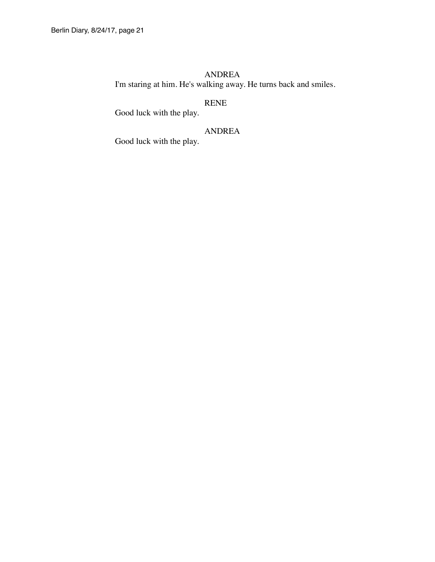# ANDREA

I'm staring at him. He's walking away. He turns back and smiles.

# RENE

Good luck with the play.

# ANDREA

Good luck with the play.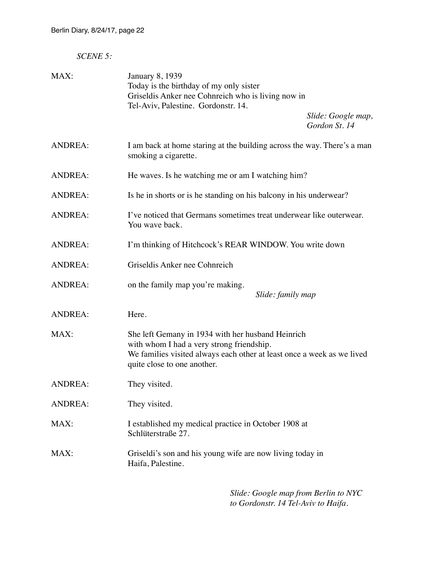*SCENE 5:* 

| MAX:           | <b>January 8, 1939</b><br>Today is the birthday of my only sister<br>Griseldis Anker nee Cohnreich who is living now in<br>Tel-Aviv, Palestine. Gordonstr. 14.                                          |
|----------------|---------------------------------------------------------------------------------------------------------------------------------------------------------------------------------------------------------|
|                | Slide: Google map,<br>Gordon St. 14                                                                                                                                                                     |
| <b>ANDREA:</b> | I am back at home staring at the building across the way. There's a man<br>smoking a cigarette.                                                                                                         |
| <b>ANDREA:</b> | He waves. Is he watching me or am I watching him?                                                                                                                                                       |
| <b>ANDREA:</b> | Is he in shorts or is he standing on his balcony in his underwear?                                                                                                                                      |
| <b>ANDREA:</b> | I've noticed that Germans sometimes treat underwear like outerwear.<br>You wave back.                                                                                                                   |
| <b>ANDREA:</b> | I'm thinking of Hitchcock's REAR WINDOW. You write down                                                                                                                                                 |
| <b>ANDREA:</b> | Griseldis Anker nee Cohnreich                                                                                                                                                                           |
| <b>ANDREA:</b> | on the family map you're making.<br>Slide: family map                                                                                                                                                   |
| <b>ANDREA:</b> | Here.                                                                                                                                                                                                   |
| MAX:           | She left Gemany in 1934 with her husband Heinrich<br>with whom I had a very strong friendship.<br>We families visited always each other at least once a week as we lived<br>quite close to one another. |
| <b>ANDREA:</b> | They visited.                                                                                                                                                                                           |
| <b>ANDREA:</b> | They visited.                                                                                                                                                                                           |
| MAX:           | I established my medical practice in October 1908 at<br>Schlüterstraße 27.                                                                                                                              |
| MAX:           | Griseldi's son and his young wife are now living today in<br>Haifa, Palestine.                                                                                                                          |

*Slide: Google map from Berlin to NYC to Gordonstr. 14 Tel-Aviv to Haifa.*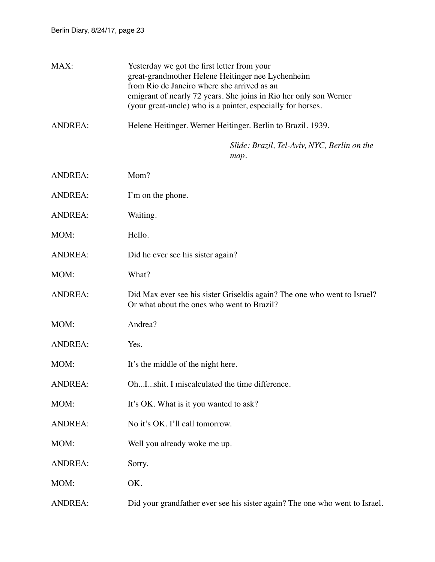| MAX:           | Yesterday we got the first letter from your<br>great-grandmother Helene Heitinger nee Lychenheim<br>from Rio de Janeiro where she arrived as an<br>emigrant of nearly 72 years. She joins in Rio her only son Werner<br>(your great-uncle) who is a painter, especially for horses. |
|----------------|-------------------------------------------------------------------------------------------------------------------------------------------------------------------------------------------------------------------------------------------------------------------------------------|
| <b>ANDREA:</b> | Helene Heitinger. Werner Heitinger. Berlin to Brazil. 1939.                                                                                                                                                                                                                         |
|                | Slide: Brazil, Tel-Aviv, NYC, Berlin on the<br>map.                                                                                                                                                                                                                                 |
| <b>ANDREA:</b> | Mom?                                                                                                                                                                                                                                                                                |
| <b>ANDREA:</b> | I'm on the phone.                                                                                                                                                                                                                                                                   |
| <b>ANDREA:</b> | Waiting.                                                                                                                                                                                                                                                                            |
| MOM:           | Hello.                                                                                                                                                                                                                                                                              |
| <b>ANDREA:</b> | Did he ever see his sister again?                                                                                                                                                                                                                                                   |
| MOM:           | What?                                                                                                                                                                                                                                                                               |
| <b>ANDREA:</b> | Did Max ever see his sister Griseldis again? The one who went to Israel?<br>Or what about the ones who went to Brazil?                                                                                                                                                              |
| MOM:           | Andrea?                                                                                                                                                                                                                                                                             |
| <b>ANDREA:</b> | Yes.                                                                                                                                                                                                                                                                                |
| MOM:           | It's the middle of the night here.                                                                                                                                                                                                                                                  |
| <b>ANDREA:</b> | OhIshit. I miscalculated the time difference.                                                                                                                                                                                                                                       |
| MOM:           | It's OK. What is it you wanted to ask?                                                                                                                                                                                                                                              |
| <b>ANDREA:</b> | No it's OK. I'll call tomorrow.                                                                                                                                                                                                                                                     |
| MOM:           | Well you already woke me up.                                                                                                                                                                                                                                                        |
| <b>ANDREA:</b> | Sorry.                                                                                                                                                                                                                                                                              |
| MOM:           | OK.                                                                                                                                                                                                                                                                                 |
| <b>ANDREA:</b> | Did your grandfather ever see his sister again? The one who went to Israel.                                                                                                                                                                                                         |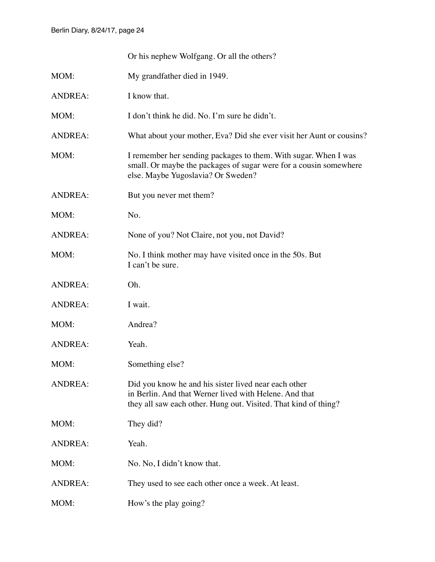|                | Or his nephew Wolfgang. Or all the others?                                                                                                                                        |
|----------------|-----------------------------------------------------------------------------------------------------------------------------------------------------------------------------------|
| MOM:           | My grandfather died in 1949.                                                                                                                                                      |
| <b>ANDREA:</b> | I know that.                                                                                                                                                                      |
| MOM:           | I don't think he did. No. I'm sure he didn't.                                                                                                                                     |
| <b>ANDREA:</b> | What about your mother, Eva? Did she ever visit her Aunt or cousins?                                                                                                              |
| MOM:           | I remember her sending packages to them. With sugar. When I was<br>small. Or maybe the packages of sugar were for a cousin somewhere<br>else. Maybe Yugoslavia? Or Sweden?        |
| <b>ANDREA:</b> | But you never met them?                                                                                                                                                           |
| MOM:           | No.                                                                                                                                                                               |
| <b>ANDREA:</b> | None of you? Not Claire, not you, not David?                                                                                                                                      |
| MOM:           | No. I think mother may have visited once in the 50s. But<br>I can't be sure.                                                                                                      |
| <b>ANDREA:</b> | Oh.                                                                                                                                                                               |
| <b>ANDREA:</b> | I wait.                                                                                                                                                                           |
| MOM:           | Andrea?                                                                                                                                                                           |
| <b>ANDREA:</b> | Yeah.                                                                                                                                                                             |
| MOM:           | Something else?                                                                                                                                                                   |
| <b>ANDREA:</b> | Did you know he and his sister lived near each other<br>in Berlin. And that Werner lived with Helene. And that<br>they all saw each other. Hung out. Visited. That kind of thing? |
| MOM:           | They did?                                                                                                                                                                         |
| <b>ANDREA:</b> | Yeah.                                                                                                                                                                             |
| MOM:           | No. No, I didn't know that.                                                                                                                                                       |
| <b>ANDREA:</b> | They used to see each other once a week. At least.                                                                                                                                |
| MOM:           | How's the play going?                                                                                                                                                             |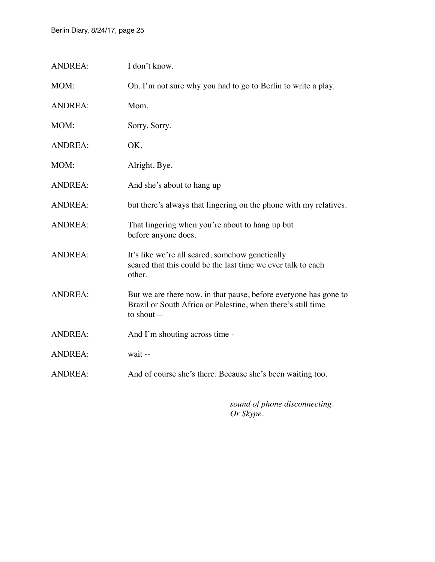| <b>ANDREA:</b> | I don't know.                                                                                                                                   |
|----------------|-------------------------------------------------------------------------------------------------------------------------------------------------|
| MOM:           | Oh. I'm not sure why you had to go to Berlin to write a play.                                                                                   |
| <b>ANDREA:</b> | Mom.                                                                                                                                            |
| MOM:           | Sorry. Sorry.                                                                                                                                   |
| <b>ANDREA:</b> | OK.                                                                                                                                             |
| MOM:           | Alright. Bye.                                                                                                                                   |
| <b>ANDREA:</b> | And she's about to hang up                                                                                                                      |
| <b>ANDREA:</b> | but there's always that lingering on the phone with my relatives.                                                                               |
| <b>ANDREA:</b> | That lingering when you're about to hang up but<br>before anyone does.                                                                          |
| <b>ANDREA:</b> | It's like we're all scared, somehow genetically<br>scared that this could be the last time we ever talk to each<br>other.                       |
| <b>ANDREA:</b> | But we are there now, in that pause, before everyone has gone to<br>Brazil or South Africa or Palestine, when there's still time<br>to shout -- |
| <b>ANDREA:</b> | And I'm shouting across time -                                                                                                                  |
| <b>ANDREA:</b> | wait --                                                                                                                                         |
| <b>ANDREA:</b> | And of course she's there. Because she's been waiting too.                                                                                      |
|                |                                                                                                                                                 |

*sound of phone disconnecting. Or Skype.*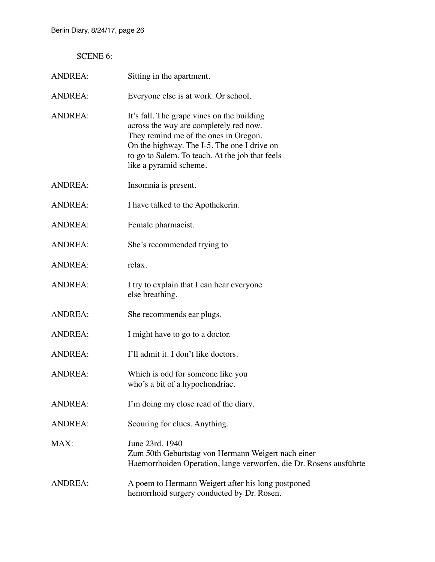SCENE 6:

| <b>ANDREA:</b> | Sitting in the apartment.                                                                                                                                                                                                                                 |
|----------------|-----------------------------------------------------------------------------------------------------------------------------------------------------------------------------------------------------------------------------------------------------------|
| <b>ANDREA:</b> | Everyone else is at work. Or school.                                                                                                                                                                                                                      |
| <b>ANDREA:</b> | It's fall. The grape vines on the building<br>across the way are completely red now.<br>They remind me of the ones in Oregon.<br>On the highway. The I-5. The one I drive on<br>to go to Salem. To teach. At the job that feels<br>like a pyramid scheme. |
| <b>ANDREA:</b> | Insomnia is present.                                                                                                                                                                                                                                      |
| <b>ANDREA:</b> | I have talked to the Apothekerin.                                                                                                                                                                                                                         |
| <b>ANDREA:</b> | Female pharmacist.                                                                                                                                                                                                                                        |
| <b>ANDREA:</b> | She's recommended trying to                                                                                                                                                                                                                               |
| <b>ANDREA:</b> | relax.                                                                                                                                                                                                                                                    |
| <b>ANDREA:</b> | I try to explain that I can hear everyone<br>else breathing.                                                                                                                                                                                              |
| <b>ANDREA:</b> | She recommends ear plugs.                                                                                                                                                                                                                                 |
| <b>ANDREA:</b> | I might have to go to a doctor.                                                                                                                                                                                                                           |
| <b>ANDREA:</b> | I'll admit it. I don't like doctors.                                                                                                                                                                                                                      |
| <b>ANDREA:</b> | Which is odd for someone like you<br>who's a bit of a hypochondriac.                                                                                                                                                                                      |
| <b>ANDREA:</b> | I'm doing my close read of the diary.                                                                                                                                                                                                                     |
| <b>ANDREA:</b> | Scouring for clues. Anything.                                                                                                                                                                                                                             |
| MAX:           | June 23rd, 1940<br>Zum 50th Geburtstag von Hermann Weigert nach einer<br>Haemorrhoiden Operation, lange verworfen, die Dr. Rosens ausführte                                                                                                               |
| <b>ANDREA:</b> | A poem to Hermann Weigert after his long postponed<br>hemorrhoid surgery conducted by Dr. Rosen.                                                                                                                                                          |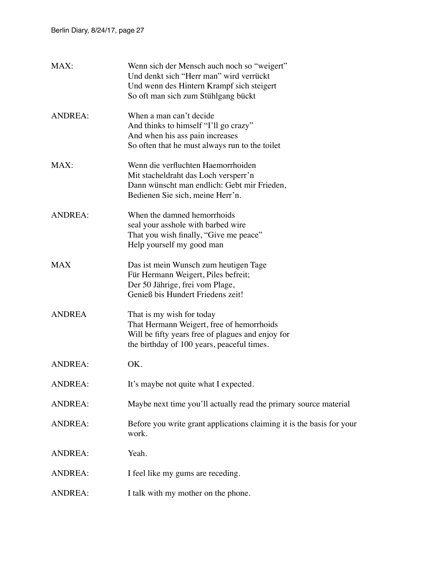| MAX:           | Wenn sich der Mensch auch noch so "weigert"<br>Und denkt sich "Herr man" wird verrückt<br>Und wenn des Hintern Krampf sich steigert<br>So oft man sich zum Stühlgang bückt |
|----------------|----------------------------------------------------------------------------------------------------------------------------------------------------------------------------|
| <b>ANDREA:</b> | When a man can't decide<br>And thinks to himself "I'll go crazy"<br>And when his ass pain increases<br>So often that he must always run to the toilet                      |
| MAX:           | Wenn die verfluchten Haemorrhoiden<br>Mit stacheldraht das Loch versperr'n<br>Dann wünscht man endlich: Gebt mir Frieden,<br>Bedienen Sie sich, meine Herr'n.              |
| <b>ANDREA:</b> | When the damned hemorrhoids<br>seal your asshole with barbed wire<br>That you wish finally, "Give me peace"<br>Help yourself my good man                                   |
| MAX            | Das ist mein Wunsch zum heutigen Tage<br>Für Hermann Weigert, Piles befreit;<br>Der 50 Jährige, frei vom Plage,<br>Genieß bis Hundert Friedens zeit!                       |
| <b>ANDREA</b>  | That is my wish for today<br>That Hermann Weigert, free of hemorrhoids<br>Will be fifty years free of plagues and enjoy for<br>the birthday of 100 years, peaceful times.  |
| <b>ANDREA:</b> | OK.                                                                                                                                                                        |
| <b>ANDREA:</b> | It's maybe not quite what I expected.                                                                                                                                      |
| <b>ANDREA:</b> | Maybe next time you'll actually read the primary source material                                                                                                           |
| <b>ANDREA:</b> | Before you write grant applications claiming it is the basis for your<br>work.                                                                                             |
| <b>ANDREA:</b> | Yeah.                                                                                                                                                                      |
| <b>ANDREA:</b> | I feel like my gums are receding.                                                                                                                                          |
| ANDREA:        | I talk with my mother on the phone.                                                                                                                                        |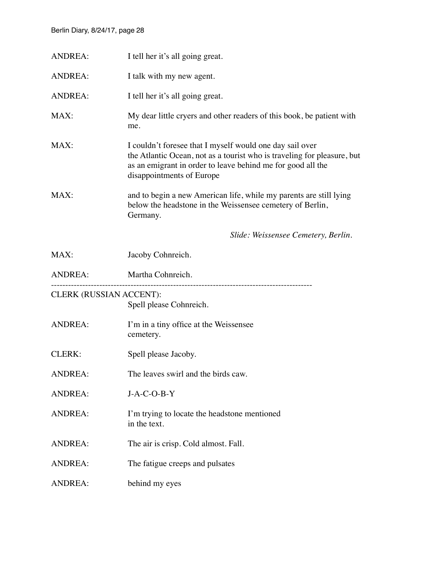| <b>ANDREA:</b>                 | I tell her it's all going great.                                                                                                                                                                                                |
|--------------------------------|---------------------------------------------------------------------------------------------------------------------------------------------------------------------------------------------------------------------------------|
| <b>ANDREA:</b>                 | I talk with my new agent.                                                                                                                                                                                                       |
| <b>ANDREA:</b>                 | I tell her it's all going great.                                                                                                                                                                                                |
| MAX:                           | My dear little cryers and other readers of this book, be patient with<br>me.                                                                                                                                                    |
| MAX:                           | I couldn't foresee that I myself would one day sail over<br>the Atlantic Ocean, not as a tourist who is traveling for pleasure, but<br>as an emigrant in order to leave behind me for good all the<br>disappointments of Europe |
| MAX:                           | and to begin a new American life, while my parents are still lying<br>below the headstone in the Weissensee cemetery of Berlin,<br>Germany.                                                                                     |
|                                | Slide: Weissensee Cemetery, Berlin.                                                                                                                                                                                             |
| MAX:                           | Jacoby Cohnreich.                                                                                                                                                                                                               |
| ANDREA:                        | Martha Cohnreich.                                                                                                                                                                                                               |
| <b>CLERK (RUSSIAN ACCENT):</b> |                                                                                                                                                                                                                                 |
|                                | Spell please Cohnreich.                                                                                                                                                                                                         |
| <b>ANDREA:</b>                 | I'm in a tiny office at the Weissensee<br>cemetery.                                                                                                                                                                             |
| <b>CLERK:</b>                  | Spell please Jacoby.                                                                                                                                                                                                            |
| <b>ANDREA:</b>                 | The leaves swirl and the birds caw.                                                                                                                                                                                             |
| <b>ANDREA:</b>                 | $J-A-C-O-B-Y$                                                                                                                                                                                                                   |
| <b>ANDREA:</b>                 | I'm trying to locate the headstone mentioned<br>in the text.                                                                                                                                                                    |
| <b>ANDREA:</b>                 | The air is crisp. Cold almost. Fall.                                                                                                                                                                                            |
| <b>ANDREA:</b>                 | The fatigue creeps and pulsates                                                                                                                                                                                                 |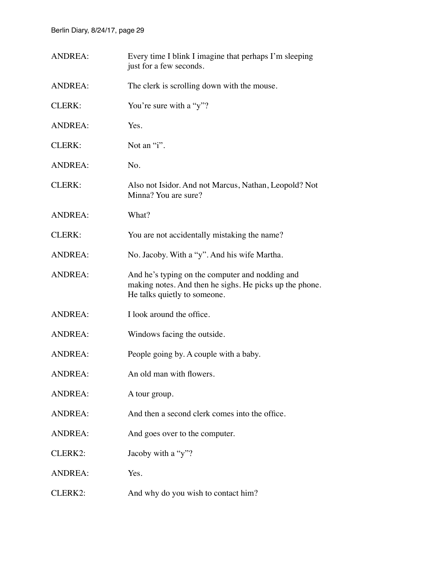| <b>ANDREA:</b> | Every time I blink I imagine that perhaps I'm sleeping<br>just for a few seconds.                                                          |
|----------------|--------------------------------------------------------------------------------------------------------------------------------------------|
| <b>ANDREA:</b> | The clerk is scrolling down with the mouse.                                                                                                |
| <b>CLERK:</b>  | You're sure with a "y"?                                                                                                                    |
| <b>ANDREA:</b> | Yes.                                                                                                                                       |
| <b>CLERK:</b>  | Not an "i".                                                                                                                                |
| <b>ANDREA:</b> | No.                                                                                                                                        |
| CLERK:         | Also not Isidor. And not Marcus, Nathan, Leopold? Not<br>Minna? You are sure?                                                              |
| <b>ANDREA:</b> | What?                                                                                                                                      |
| <b>CLERK:</b>  | You are not accidentally mistaking the name?                                                                                               |
| <b>ANDREA:</b> | No. Jacoby. With a "y". And his wife Martha.                                                                                               |
| <b>ANDREA:</b> | And he's typing on the computer and nodding and<br>making notes. And then he sighs. He picks up the phone.<br>He talks quietly to someone. |
| <b>ANDREA:</b> | I look around the office.                                                                                                                  |
| <b>ANDREA:</b> | Windows facing the outside.                                                                                                                |
| <b>ANDREA:</b> | People going by. A couple with a baby.                                                                                                     |
| <b>ANDREA:</b> | An old man with flowers.                                                                                                                   |
| <b>ANDREA:</b> | A tour group.                                                                                                                              |
| <b>ANDREA:</b> | And then a second clerk comes into the office.                                                                                             |
| <b>ANDREA:</b> | And goes over to the computer.                                                                                                             |
| CLERK2:        | Jacoby with a "y"?                                                                                                                         |
| <b>ANDREA:</b> | Yes.                                                                                                                                       |
| CLERK2:        | And why do you wish to contact him?                                                                                                        |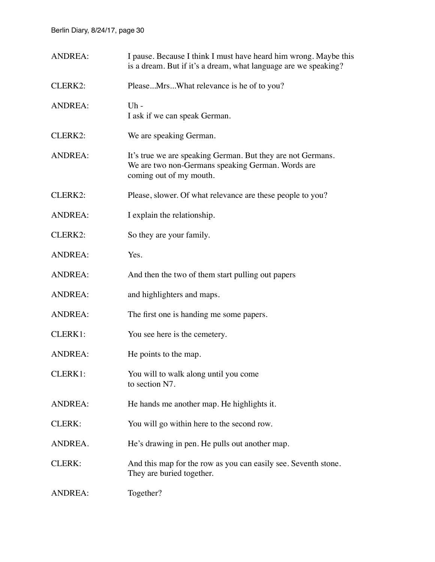| <b>ANDREA:</b> | I pause. Because I think I must have heard him wrong. Maybe this<br>is a dream. But if it's a dream, what language are we speaking?         |
|----------------|---------------------------------------------------------------------------------------------------------------------------------------------|
| CLERK2:        | PleaseMrsWhat relevance is he of to you?                                                                                                    |
| <b>ANDREA:</b> | $Uh -$<br>I ask if we can speak German.                                                                                                     |
| CLERK2:        | We are speaking German.                                                                                                                     |
| <b>ANDREA:</b> | It's true we are speaking German. But they are not Germans.<br>We are two non-Germans speaking German. Words are<br>coming out of my mouth. |
| CLERK2:        | Please, slower. Of what relevance are these people to you?                                                                                  |
| ANDREA:        | I explain the relationship.                                                                                                                 |
| CLERK2:        | So they are your family.                                                                                                                    |
| <b>ANDREA:</b> | Yes.                                                                                                                                        |
| <b>ANDREA:</b> | And then the two of them start pulling out papers                                                                                           |
| <b>ANDREA:</b> | and highlighters and maps.                                                                                                                  |
| <b>ANDREA:</b> | The first one is handing me some papers.                                                                                                    |
| CLERK1:        | You see here is the cemetery.                                                                                                               |
| <b>ANDREA:</b> | He points to the map.                                                                                                                       |
| CLERK1:        | You will to walk along until you come<br>to section N7.                                                                                     |
| <b>ANDREA:</b> | He hands me another map. He highlights it.                                                                                                  |
| <b>CLERK:</b>  | You will go within here to the second row.                                                                                                  |
| ANDREA.        | He's drawing in pen. He pulls out another map.                                                                                              |
| <b>CLERK:</b>  | And this map for the row as you can easily see. Seventh stone.<br>They are buried together.                                                 |
| ANDREA:        | Together?                                                                                                                                   |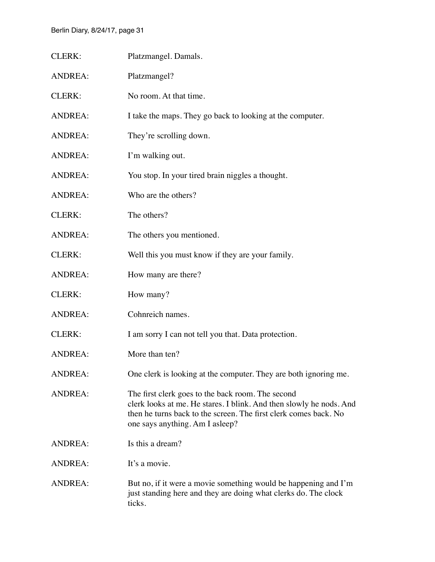| <b>CLERK:</b>  | Platzmangel. Damals.                                                                                                                                                                                                            |
|----------------|---------------------------------------------------------------------------------------------------------------------------------------------------------------------------------------------------------------------------------|
| <b>ANDREA:</b> | Platzmangel?                                                                                                                                                                                                                    |
| <b>CLERK:</b>  | No room. At that time.                                                                                                                                                                                                          |
| <b>ANDREA:</b> | I take the maps. They go back to looking at the computer.                                                                                                                                                                       |
| <b>ANDREA:</b> | They're scrolling down.                                                                                                                                                                                                         |
| <b>ANDREA:</b> | I'm walking out.                                                                                                                                                                                                                |
| <b>ANDREA:</b> | You stop. In your tired brain niggles a thought.                                                                                                                                                                                |
| <b>ANDREA:</b> | Who are the others?                                                                                                                                                                                                             |
| <b>CLERK:</b>  | The others?                                                                                                                                                                                                                     |
| <b>ANDREA:</b> | The others you mentioned.                                                                                                                                                                                                       |
| <b>CLERK:</b>  | Well this you must know if they are your family.                                                                                                                                                                                |
| <b>ANDREA:</b> | How many are there?                                                                                                                                                                                                             |
| <b>CLERK:</b>  | How many?                                                                                                                                                                                                                       |
| <b>ANDREA:</b> | Cohnreich names.                                                                                                                                                                                                                |
| <b>CLERK:</b>  | I am sorry I can not tell you that. Data protection.                                                                                                                                                                            |
| <b>ANDREA:</b> | More than ten?                                                                                                                                                                                                                  |
| <b>ANDREA:</b> | One clerk is looking at the computer. They are both ignoring me.                                                                                                                                                                |
| <b>ANDREA:</b> | The first clerk goes to the back room. The second<br>clerk looks at me. He stares. I blink. And then slowly he nods. And<br>then he turns back to the screen. The first clerk comes back. No<br>one says anything. Am I asleep? |
| <b>ANDREA:</b> | Is this a dream?                                                                                                                                                                                                                |
| <b>ANDREA:</b> | It's a movie.                                                                                                                                                                                                                   |
| <b>ANDREA:</b> | But no, if it were a movie something would be happening and I'm<br>just standing here and they are doing what clerks do. The clock<br>ticks.                                                                                    |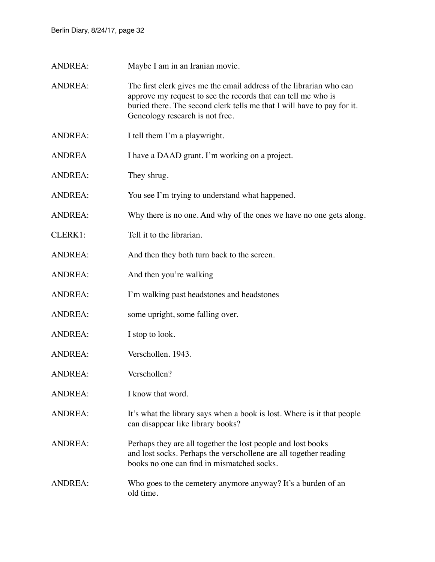- ANDREA: Maybe I am in an Iranian movie.
- ANDREA: The first clerk gives me the email address of the librarian who can approve my request to see the records that can tell me who is buried there. The second clerk tells me that I will have to pay for it. Geneology research is not free.
- ANDREA: I tell them I'm a playwright.
- ANDREA I have a DAAD grant. I'm working on a project.
- ANDREA: They shrug.
- ANDREA: You see I'm trying to understand what happened.
- ANDREA: Why there is no one. And why of the ones we have no one gets along.
- CLERK1: Tell it to the librarian.
- ANDREA: And then they both turn back to the screen.
- ANDREA: And then you're walking
- ANDREA: I'm walking past headstones and headstones
- ANDREA: some upright, some falling over.
- ANDREA: I stop to look.
- ANDREA: Verschollen. 1943.
- ANDREA: Verschollen?
- ANDREA: I know that word.
- ANDREA: It's what the library says when a book is lost. Where is it that people can disappear like library books?
- ANDREA: Perhaps they are all together the lost people and lost books and lost socks. Perhaps the verschollene are all together reading books no one can find in mismatched socks.
- ANDREA: Who goes to the cemetery anymore anyway? It's a burden of an old time.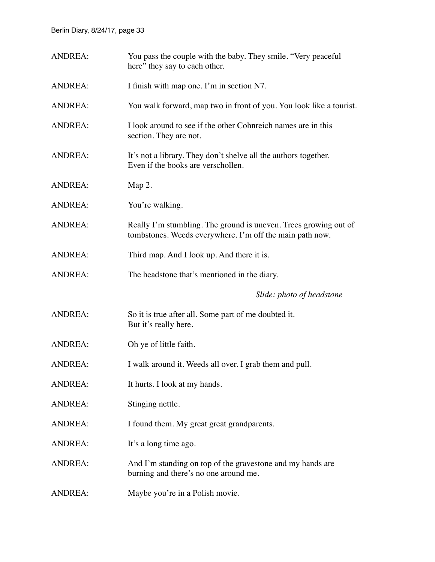| <b>ANDREA:</b> | You pass the couple with the baby. They smile. "Very peaceful<br>here" they say to each other.                               |
|----------------|------------------------------------------------------------------------------------------------------------------------------|
| <b>ANDREA:</b> | I finish with map one. I'm in section N7.                                                                                    |
| <b>ANDREA:</b> | You walk forward, map two in front of you. You look like a tourist.                                                          |
| <b>ANDREA:</b> | I look around to see if the other Cohnreich names are in this<br>section. They are not.                                      |
| <b>ANDREA:</b> | It's not a library. They don't shelve all the authors together.<br>Even if the books are verschollen.                        |
| <b>ANDREA:</b> | Map $2$ .                                                                                                                    |
| <b>ANDREA:</b> | You're walking.                                                                                                              |
| <b>ANDREA:</b> | Really I'm stumbling. The ground is uneven. Trees growing out of<br>tombstones. Weeds everywhere. I'm off the main path now. |
| <b>ANDREA:</b> | Third map. And I look up. And there it is.                                                                                   |
| <b>ANDREA:</b> | The headstone that's mentioned in the diary.                                                                                 |
|                | Slide: photo of headstone                                                                                                    |
| <b>ANDREA:</b> | So it is true after all. Some part of me doubted it.<br>But it's really here.                                                |
| <b>ANDREA:</b> | Oh ye of little faith.                                                                                                       |
| <b>ANDREA:</b> | I walk around it. Weeds all over. I grab them and pull.                                                                      |
| <b>ANDREA:</b> | It hurts. I look at my hands.                                                                                                |
| <b>ANDREA:</b> | Stinging nettle.                                                                                                             |
| <b>ANDREA:</b> | I found them. My great great grandparents.                                                                                   |
| <b>ANDREA:</b> | It's a long time ago.                                                                                                        |
| <b>ANDREA:</b> | And I'm standing on top of the gravestone and my hands are<br>burning and there's no one around me.                          |
| <b>ANDREA:</b> | Maybe you're in a Polish movie.                                                                                              |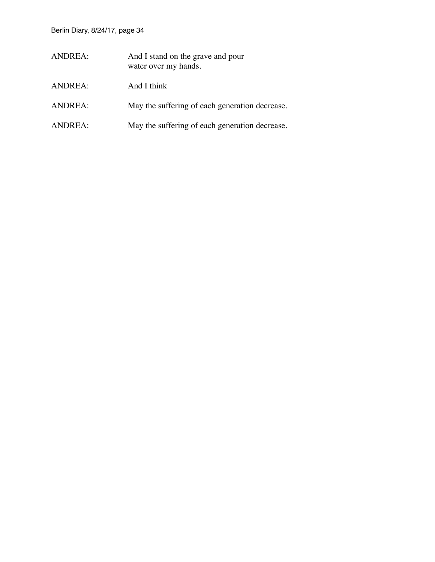| <b>ANDREA:</b> | And I stand on the grave and pour<br>water over my hands. |
|----------------|-----------------------------------------------------------|
| ANDREA:        | And I think                                               |
| <b>ANDREA:</b> | May the suffering of each generation decrease.            |
| <b>ANDREA:</b> | May the suffering of each generation decrease.            |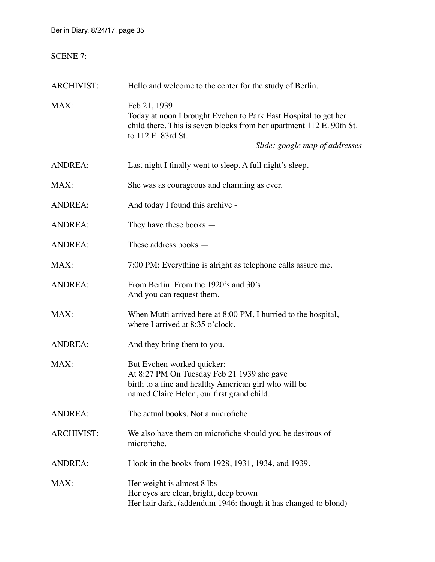Berlin Diary, 8/24/17, page 35

SCENE 7:

| <b>ARCHIVIST:</b> | Hello and welcome to the center for the study of Berlin.                                                                                                                                                        |
|-------------------|-----------------------------------------------------------------------------------------------------------------------------------------------------------------------------------------------------------------|
| MAX:              | Feb 21, 1939<br>Today at noon I brought Evchen to Park East Hospital to get her<br>child there. This is seven blocks from her apartment 112 E. 90th St.<br>to 112 E. 83rd St.<br>Slide: google map of addresses |
| <b>ANDREA:</b>    | Last night I finally went to sleep. A full night's sleep.                                                                                                                                                       |
| MAX:              | She was as courageous and charming as ever.                                                                                                                                                                     |
| <b>ANDREA:</b>    | And today I found this archive -                                                                                                                                                                                |
| <b>ANDREA:</b>    | They have these books $-$                                                                                                                                                                                       |
| <b>ANDREA:</b>    | These address books -                                                                                                                                                                                           |
| MAX:              | 7:00 PM: Everything is alright as telephone calls assure me.                                                                                                                                                    |
| <b>ANDREA:</b>    | From Berlin. From the 1920's and 30's.<br>And you can request them.                                                                                                                                             |
| MAX:              | When Mutti arrived here at 8:00 PM, I hurried to the hospital,<br>where I arrived at 8:35 o'clock.                                                                                                              |
| <b>ANDREA:</b>    | And they bring them to you.                                                                                                                                                                                     |
| MAX:              | But Evchen worked quicker:<br>At 8:27 PM On Tuesday Feb 21 1939 she gave<br>birth to a fine and healthy American girl who will be<br>named Claire Helen, our first grand child.                                 |
| <b>ANDREA:</b>    | The actual books. Not a microfiche.                                                                                                                                                                             |
| <b>ARCHIVIST:</b> | We also have them on microfiche should you be desirous of<br>microfiche.                                                                                                                                        |
| <b>ANDREA:</b>    | I look in the books from 1928, 1931, 1934, and 1939.                                                                                                                                                            |
| MAX:              | Her weight is almost 8 lbs<br>Her eyes are clear, bright, deep brown<br>Her hair dark, (addendum 1946: though it has changed to blond)                                                                          |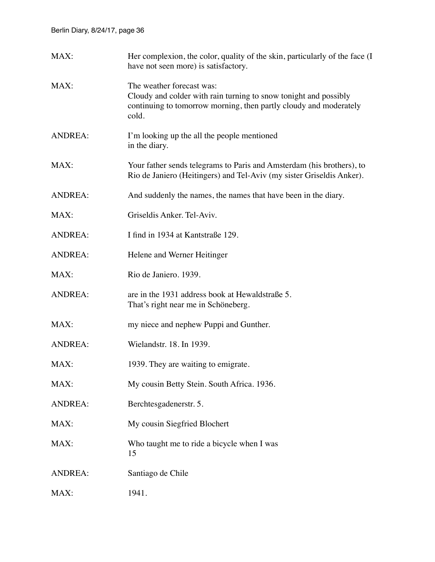| MAX:           | Her complexion, the color, quality of the skin, particularly of the face (I<br>have not seen more) is satisfactory.                                                         |
|----------------|-----------------------------------------------------------------------------------------------------------------------------------------------------------------------------|
| MAX:           | The weather forecast was:<br>Cloudy and colder with rain turning to snow tonight and possibly<br>continuing to tomorrow morning, then partly cloudy and moderately<br>cold. |
| <b>ANDREA:</b> | I'm looking up the all the people mentioned<br>in the diary.                                                                                                                |
| MAX:           | Your father sends telegrams to Paris and Amsterdam (his brothers), to<br>Rio de Janiero (Heitingers) and Tel-Aviv (my sister Griseldis Anker).                              |
| <b>ANDREA:</b> | And suddenly the names, the names that have been in the diary.                                                                                                              |
| MAX:           | Griseldis Anker. Tel-Aviv.                                                                                                                                                  |
| <b>ANDREA:</b> | I find in 1934 at Kantstraße 129.                                                                                                                                           |
| <b>ANDREA:</b> | Helene and Werner Heitinger                                                                                                                                                 |
| MAX:           | Rio de Janiero. 1939.                                                                                                                                                       |
| <b>ANDREA:</b> | are in the 1931 address book at Hewaldstraße 5.<br>That's right near me in Schöneberg.                                                                                      |
| MAX:           | my niece and nephew Puppi and Gunther.                                                                                                                                      |
| <b>ANDREA:</b> | Wielandstr. 18. In 1939.                                                                                                                                                    |
| MAX:           | 1939. They are waiting to emigrate.                                                                                                                                         |
| MAX:           | My cousin Betty Stein. South Africa. 1936.                                                                                                                                  |
| <b>ANDREA:</b> | Berchtesgadenerstr. 5.                                                                                                                                                      |
| MAX:           | My cousin Siegfried Blochert                                                                                                                                                |
| MAX:           | Who taught me to ride a bicycle when I was<br>15                                                                                                                            |
| <b>ANDREA:</b> | Santiago de Chile                                                                                                                                                           |
| MAX:           | 1941.                                                                                                                                                                       |
|                |                                                                                                                                                                             |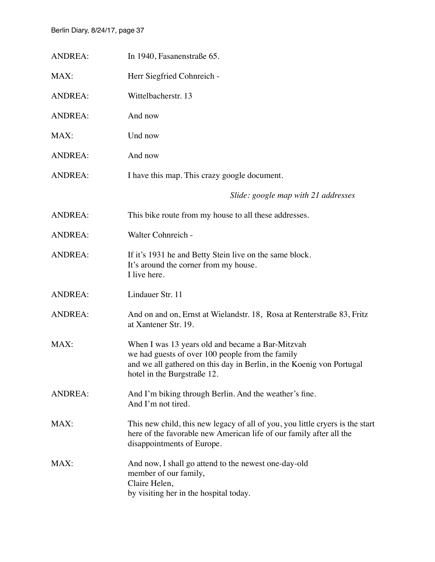| <b>ANDREA:</b> | In 1940, Fasanenstraße 65.                                                                                                                                                                                   |
|----------------|--------------------------------------------------------------------------------------------------------------------------------------------------------------------------------------------------------------|
| MAX:           | Herr Siegfried Cohnreich -                                                                                                                                                                                   |
| <b>ANDREA:</b> | Wittelbacherstr. 13                                                                                                                                                                                          |
| <b>ANDREA:</b> | And now                                                                                                                                                                                                      |
| MAX:           | Und now                                                                                                                                                                                                      |
| <b>ANDREA:</b> | And now                                                                                                                                                                                                      |
| <b>ANDREA:</b> | I have this map. This crazy google document.                                                                                                                                                                 |
|                | Slide: google map with 21 addresses                                                                                                                                                                          |
| <b>ANDREA:</b> | This bike route from my house to all these addresses.                                                                                                                                                        |
| <b>ANDREA:</b> | Walter Cohnreich -                                                                                                                                                                                           |
| <b>ANDREA:</b> | If it's 1931 he and Betty Stein live on the same block.<br>It's around the corner from my house.<br>I live here.                                                                                             |
| <b>ANDREA:</b> | Lindauer Str. 11                                                                                                                                                                                             |
| <b>ANDREA:</b> | And on and on, Ernst at Wielandstr. 18, Rosa at Renterstraße 83, Fritz<br>at Xantener Str. 19.                                                                                                               |
| MAX:           | When I was 13 years old and became a Bar-Mitzvah<br>we had guests of over 100 people from the family<br>and we all gathered on this day in Berlin, in the Koenig von Portugal<br>hotel in the Burgstraße 12. |
| <b>ANDREA:</b> | And I'm biking through Berlin. And the weather's fine.<br>And I'm not tired.                                                                                                                                 |
| MAX:           | This new child, this new legacy of all of you, you little cryers is the start<br>here of the favorable new American life of our family after all the<br>disappointments of Europe.                           |
| MAX:           | And now, I shall go attend to the newest one-day-old<br>member of our family,<br>Claire Helen,<br>by visiting her in the hospital today.                                                                     |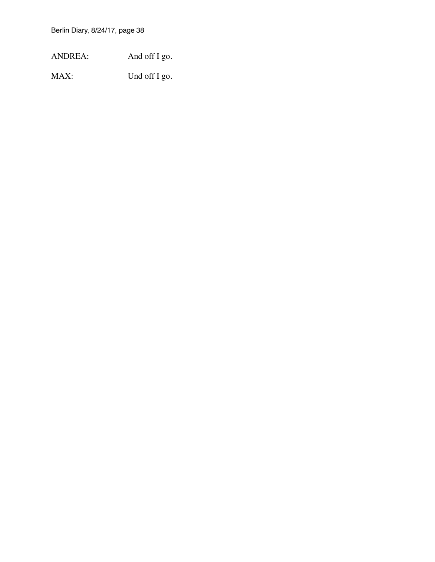Berlin Diary, 8/24/17, page 38

ANDREA: And off I go.

MAX: Und off I go.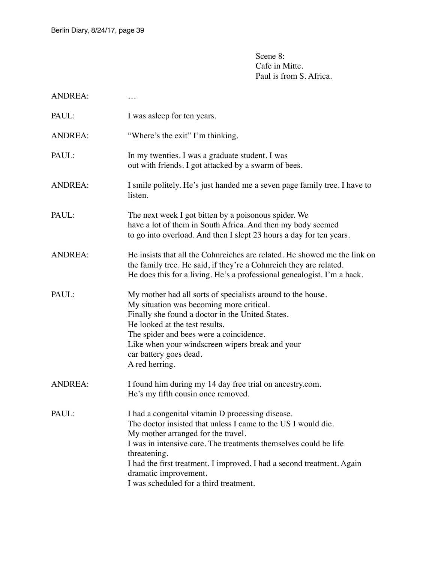Scene 8: Cafe in Mitte. Paul is from S. Africa.

| <b>ANDREA:</b> |                                                                                                                                                                                                                                                                                                                                                                                          |
|----------------|------------------------------------------------------------------------------------------------------------------------------------------------------------------------------------------------------------------------------------------------------------------------------------------------------------------------------------------------------------------------------------------|
| PAUL:          | I was asleep for ten years.                                                                                                                                                                                                                                                                                                                                                              |
| <b>ANDREA:</b> | "Where's the exit" I'm thinking.                                                                                                                                                                                                                                                                                                                                                         |
| PAUL:          | In my twenties. I was a graduate student. I was<br>out with friends. I got attacked by a swarm of bees.                                                                                                                                                                                                                                                                                  |
| <b>ANDREA:</b> | I smile politely. He's just handed me a seven page family tree. I have to<br>listen.                                                                                                                                                                                                                                                                                                     |
| PAUL:          | The next week I got bitten by a poisonous spider. We<br>have a lot of them in South Africa. And then my body seemed<br>to go into overload. And then I slept 23 hours a day for ten years.                                                                                                                                                                                               |
| <b>ANDREA:</b> | He insists that all the Cohnreiches are related. He showed me the link on<br>the family tree. He said, if they're a Cohnreich they are related.<br>He does this for a living. He's a professional genealogist. I'm a hack.                                                                                                                                                               |
| PAUL:          | My mother had all sorts of specialists around to the house.<br>My situation was becoming more critical.<br>Finally she found a doctor in the United States.<br>He looked at the test results.<br>The spider and bees were a coincidence.<br>Like when your windscreen wipers break and your<br>car battery goes dead.<br>A red herring.                                                  |
| <b>ANDREA:</b> | I found him during my 14 day free trial on ancestry.com.<br>He's my fifth cousin once removed.                                                                                                                                                                                                                                                                                           |
| PAUL:          | I had a congenital vitamin D processing disease.<br>The doctor insisted that unless I came to the US I would die.<br>My mother arranged for the travel.<br>I was in intensive care. The treatments themselves could be life<br>threatening.<br>I had the first treatment. I improved. I had a second treatment. Again<br>dramatic improvement.<br>I was scheduled for a third treatment. |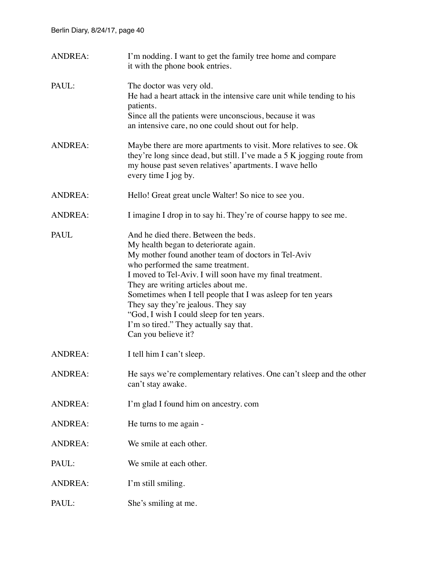| <b>ANDREA:</b> | I'm nodding. I want to get the family tree home and compare<br>it with the phone book entries.                                                                                                                                                                                                                                                                                                                                                                                                    |
|----------------|---------------------------------------------------------------------------------------------------------------------------------------------------------------------------------------------------------------------------------------------------------------------------------------------------------------------------------------------------------------------------------------------------------------------------------------------------------------------------------------------------|
| PAUL:          | The doctor was very old.<br>He had a heart attack in the intensive care unit while tending to his<br>patients.<br>Since all the patients were unconscious, because it was<br>an intensive care, no one could shout out for help.                                                                                                                                                                                                                                                                  |
| <b>ANDREA:</b> | Maybe there are more apartments to visit. More relatives to see. Ok<br>they're long since dead, but still. I've made a 5 K jogging route from<br>my house past seven relatives' apartments. I wave hello<br>every time I jog by.                                                                                                                                                                                                                                                                  |
| <b>ANDREA:</b> | Hello! Great great uncle Walter! So nice to see you.                                                                                                                                                                                                                                                                                                                                                                                                                                              |
| <b>ANDREA:</b> | I imagine I drop in to say hi. They're of course happy to see me.                                                                                                                                                                                                                                                                                                                                                                                                                                 |
| <b>PAUL</b>    | And he died there. Between the beds.<br>My health began to deteriorate again.<br>My mother found another team of doctors in Tel-Aviv<br>who performed the same treatment.<br>I moved to Tel-Aviv. I will soon have my final treatment.<br>They are writing articles about me.<br>Sometimes when I tell people that I was asleep for ten years<br>They say they're jealous. They say<br>"God, I wish I could sleep for ten years.<br>I'm so tired." They actually say that.<br>Can you believe it? |
| <b>ANDREA:</b> | I tell him I can't sleep.                                                                                                                                                                                                                                                                                                                                                                                                                                                                         |
| <b>ANDREA:</b> | He says we're complementary relatives. One can't sleep and the other<br>can't stay awake.                                                                                                                                                                                                                                                                                                                                                                                                         |
| <b>ANDREA:</b> | I'm glad I found him on ancestry. com                                                                                                                                                                                                                                                                                                                                                                                                                                                             |
| <b>ANDREA:</b> | He turns to me again -                                                                                                                                                                                                                                                                                                                                                                                                                                                                            |
| <b>ANDREA:</b> | We smile at each other.                                                                                                                                                                                                                                                                                                                                                                                                                                                                           |
| PAUL:          | We smile at each other.                                                                                                                                                                                                                                                                                                                                                                                                                                                                           |
| <b>ANDREA:</b> | I'm still smiling.                                                                                                                                                                                                                                                                                                                                                                                                                                                                                |
| PAUL:          | She's smiling at me.                                                                                                                                                                                                                                                                                                                                                                                                                                                                              |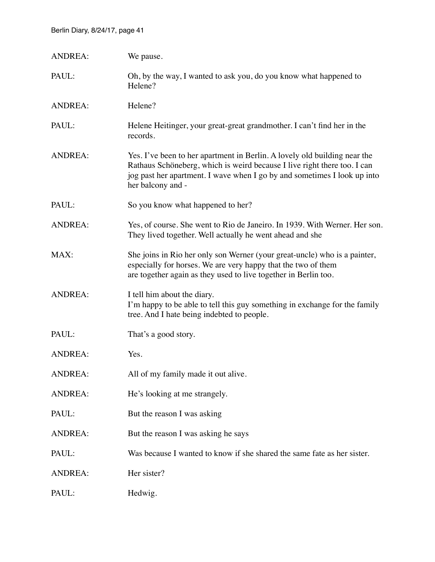| <b>ANDREA:</b> | We pause.                                                                                                                                                                                                                                              |
|----------------|--------------------------------------------------------------------------------------------------------------------------------------------------------------------------------------------------------------------------------------------------------|
| PAUL:          | Oh, by the way, I wanted to ask you, do you know what happened to<br>Helene?                                                                                                                                                                           |
| <b>ANDREA:</b> | Helene?                                                                                                                                                                                                                                                |
| PAUL:          | Helene Heitinger, your great-great grandmother. I can't find her in the<br>records.                                                                                                                                                                    |
| <b>ANDREA:</b> | Yes. I've been to her apartment in Berlin. A lovely old building near the<br>Rathaus Schöneberg, which is weird because I live right there too. I can<br>jog past her apartment. I wave when I go by and sometimes I look up into<br>her balcony and - |
| PAUL:          | So you know what happened to her?                                                                                                                                                                                                                      |
| <b>ANDREA:</b> | Yes, of course. She went to Rio de Janeiro. In 1939. With Werner. Her son.<br>They lived together. Well actually he went ahead and she                                                                                                                 |
| MAX:           | She joins in Rio her only son Werner (your great-uncle) who is a painter,<br>especially for horses. We are very happy that the two of them<br>are together again as they used to live together in Berlin too.                                          |
| <b>ANDREA:</b> | I tell him about the diary.<br>I'm happy to be able to tell this guy something in exchange for the family<br>tree. And I hate being indebted to people.                                                                                                |
| PAUL:          | That's a good story.                                                                                                                                                                                                                                   |
| <b>ANDREA:</b> | Yes.                                                                                                                                                                                                                                                   |
| <b>ANDREA:</b> | All of my family made it out alive.                                                                                                                                                                                                                    |
| <b>ANDREA:</b> | He's looking at me strangely.                                                                                                                                                                                                                          |
| PAUL:          | But the reason I was asking                                                                                                                                                                                                                            |
| <b>ANDREA:</b> | But the reason I was asking he says                                                                                                                                                                                                                    |
| PAUL:          | Was because I wanted to know if she shared the same fate as her sister.                                                                                                                                                                                |
| <b>ANDREA:</b> | Her sister?                                                                                                                                                                                                                                            |
| PAUL:          | Hedwig.                                                                                                                                                                                                                                                |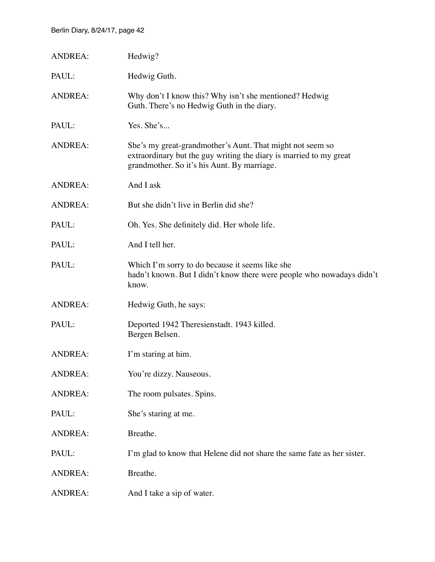| <b>ANDREA:</b> | Hedwig?                                                                                                                                                                        |
|----------------|--------------------------------------------------------------------------------------------------------------------------------------------------------------------------------|
| PAUL:          | Hedwig Guth.                                                                                                                                                                   |
| <b>ANDREA:</b> | Why don't I know this? Why isn't she mentioned? Hedwig<br>Guth. There's no Hedwig Guth in the diary.                                                                           |
| PAUL:          | Yes. She's                                                                                                                                                                     |
| <b>ANDREA:</b> | She's my great-grandmother's Aunt. That might not seem so<br>extraordinary but the guy writing the diary is married to my great<br>grandmother. So it's his Aunt. By marriage. |
| <b>ANDREA:</b> | And I ask                                                                                                                                                                      |
| <b>ANDREA:</b> | But she didn't live in Berlin did she?                                                                                                                                         |
| PAUL:          | Oh. Yes. She definitely did. Her whole life.                                                                                                                                   |
| PAUL:          | And I tell her.                                                                                                                                                                |
| PAUL:          | Which I'm sorry to do because it seems like she<br>hadn't known. But I didn't know there were people who nowadays didn't<br>know.                                              |
| <b>ANDREA:</b> | Hedwig Guth, he says:                                                                                                                                                          |
| PAUL:          | Deported 1942 Theresienstadt. 1943 killed.<br>Bergen Belsen.                                                                                                                   |
| <b>ANDREA:</b> | I'm staring at him.                                                                                                                                                            |
| <b>ANDREA:</b> | You're dizzy. Nauseous.                                                                                                                                                        |
| <b>ANDREA:</b> | The room pulsates. Spins.                                                                                                                                                      |
| PAUL:          | She's staring at me.                                                                                                                                                           |
| <b>ANDREA:</b> | Breathe.                                                                                                                                                                       |
| PAUL:          | I'm glad to know that Helene did not share the same fate as her sister.                                                                                                        |
| <b>ANDREA:</b> | Breathe.                                                                                                                                                                       |
| <b>ANDREA:</b> | And I take a sip of water.                                                                                                                                                     |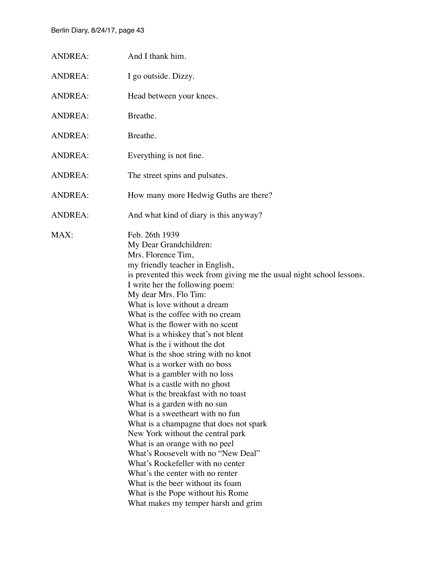- ANDREA: And I thank him.
- ANDREA: I go outside. Dizzy.
- ANDREA: Head between your knees.
- ANDREA: Breathe.
- ANDREA: Breathe.
- ANDREA: Everything is not fine.
- ANDREA: The street spins and pulsates.
- ANDREA: How many more Hedwig Guths are there?
- ANDREA: And what kind of diary is this anyway?
- MAX: Feb. 26th 1939 My Dear Grandchildren: Mrs. Florence Tim, my friendly teacher in English, is prevented this week from giving me the usual night school lessons. I write her the following poem: My dear Mrs. Flo Tim: What is love without a dream What is the coffee with no cream What is the flower with no scent What is a whiskey that's not blent What is the i without the dot What is the shoe string with no knot What is a worker with no boss What is a gambler with no loss What is a castle with no ghost What is the breakfast with no toast What is a garden with no sun What is a sweetheart with no fun What is a champagne that does not spark New York without the central park What is an orange with no peel What's Roosevelt with no "New Deal" What's Rockefeller with no center What's the center with no renter What is the beer without its foam What is the Pope without his Rome What makes my temper harsh and grim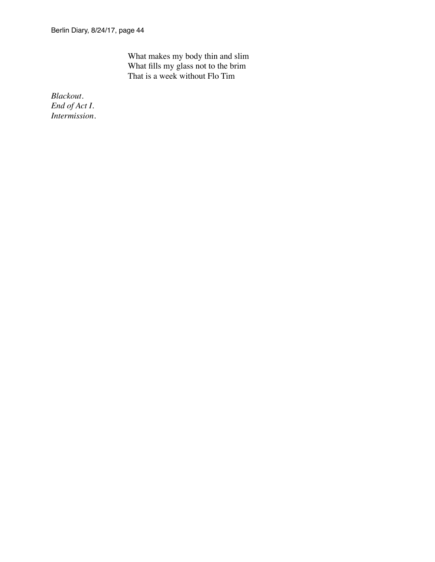What makes my body thin and slim What fills my glass not to the brim That is a week without Flo Tim

*Blackout. End of Act I. Intermission.*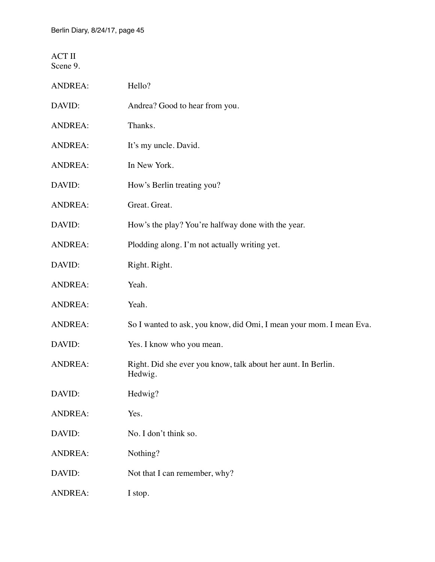ACT II Scene 9.

| <b>ANDREA:</b> | Hello?                                                                   |
|----------------|--------------------------------------------------------------------------|
| DAVID:         | Andrea? Good to hear from you.                                           |
| <b>ANDREA:</b> | Thanks.                                                                  |
| <b>ANDREA:</b> | It's my uncle. David.                                                    |
| <b>ANDREA:</b> | In New York.                                                             |
| DAVID:         | How's Berlin treating you?                                               |
| <b>ANDREA:</b> | Great. Great.                                                            |
| DAVID:         | How's the play? You're halfway done with the year.                       |
| <b>ANDREA:</b> | Plodding along. I'm not actually writing yet.                            |
| DAVID:         | Right. Right.                                                            |
| <b>ANDREA:</b> | Yeah.                                                                    |
| <b>ANDREA:</b> | Yeah.                                                                    |
| <b>ANDREA:</b> | So I wanted to ask, you know, did Omi, I mean your mom. I mean Eva.      |
| DAVID:         | Yes. I know who you mean.                                                |
| <b>ANDREA:</b> | Right. Did she ever you know, talk about her aunt. In Berlin.<br>Hedwig. |
| DAVID:         | Hedwig?                                                                  |
| <b>ANDREA:</b> | Yes.                                                                     |
| DAVID:         | No. I don't think so.                                                    |
| <b>ANDREA:</b> | Nothing?                                                                 |
| DAVID:         | Not that I can remember, why?                                            |
| <b>ANDREA:</b> | I stop.                                                                  |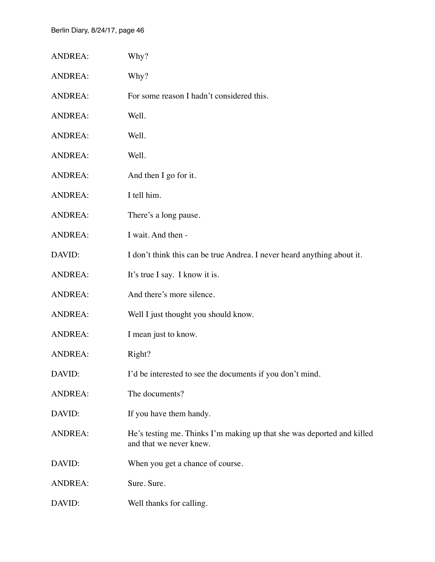- ANDREA: Why?
- ANDREA: Why?
- ANDREA: For some reason I hadn't considered this.
- ANDREA: Well.
- ANDREA: Well.
- ANDREA: Well.
- ANDREA: And then I go for it.
- ANDREA: I tell him.
- ANDREA: There's a long pause.
- ANDREA: I wait. And then -
- DAVID: I don't think this can be true Andrea. I never heard anything about it.
- ANDREA: It's true I say. I know it is.
- ANDREA: And there's more silence.
- ANDREA: Well I just thought you should know.
- ANDREA: I mean just to know.
- ANDREA: Right?
- DAVID: I'd be interested to see the documents if you don't mind.
- ANDREA: The documents?
- DAVID: If you have them handy.
- ANDREA: He's testing me. Thinks I'm making up that she was deported and killed and that we never knew.
- DAVID: When you get a chance of course.
- ANDREA: Sure. Sure.
- DAVID: Well thanks for calling.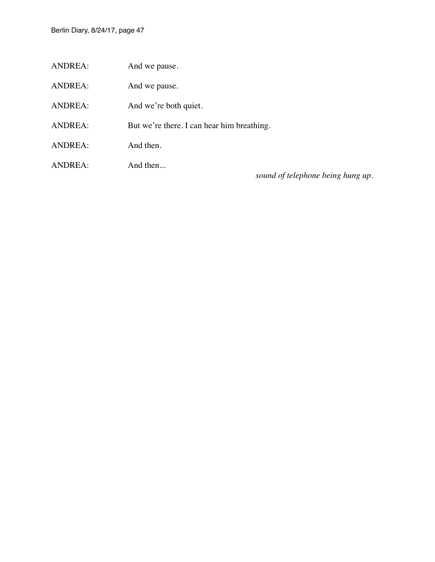| <b>ANDREA:</b> | And we pause.                                 |  |
|----------------|-----------------------------------------------|--|
| <b>ANDREA:</b> | And we pause.                                 |  |
| <b>ANDREA:</b> | And we're both quiet.                         |  |
| <b>ANDREA:</b> | But we're there. I can hear him breathing.    |  |
| <b>ANDREA:</b> | And then.                                     |  |
| <b>ANDREA:</b> | And then<br>sound of telephone being hung up. |  |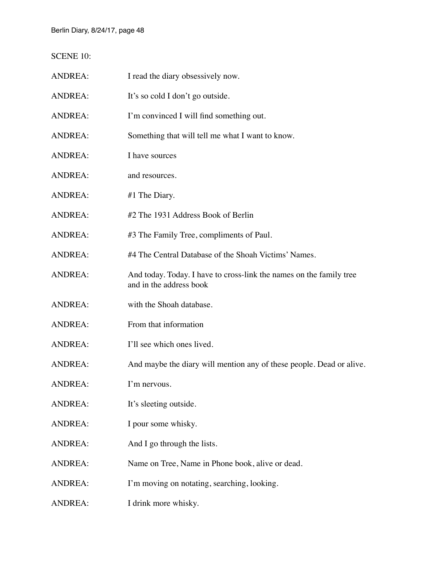## SCENE 10:

| <b>ANDREA:</b> | I read the diary obsessively now.                                                              |
|----------------|------------------------------------------------------------------------------------------------|
| <b>ANDREA:</b> | It's so cold I don't go outside.                                                               |
| <b>ANDREA:</b> | I'm convinced I will find something out.                                                       |
| <b>ANDREA:</b> | Something that will tell me what I want to know.                                               |
| <b>ANDREA:</b> | I have sources                                                                                 |
| <b>ANDREA:</b> | and resources.                                                                                 |
| <b>ANDREA:</b> | #1 The Diary.                                                                                  |
| <b>ANDREA:</b> | #2 The 1931 Address Book of Berlin                                                             |
| <b>ANDREA:</b> | #3 The Family Tree, compliments of Paul.                                                       |
| <b>ANDREA:</b> | #4 The Central Database of the Shoah Victims' Names.                                           |
| <b>ANDREA:</b> | And today. Today. I have to cross-link the names on the family tree<br>and in the address book |
|                |                                                                                                |
| <b>ANDREA:</b> | with the Shoah database.                                                                       |
| <b>ANDREA:</b> | From that information                                                                          |
| <b>ANDREA:</b> | I'll see which ones lived.                                                                     |
| <b>ANDREA:</b> | And maybe the diary will mention any of these people. Dead or alive.                           |
| <b>ANDREA:</b> | I'm nervous.                                                                                   |
| <b>ANDREA:</b> | It's sleeting outside.                                                                         |
| <b>ANDREA:</b> | I pour some whisky.                                                                            |
| <b>ANDREA:</b> | And I go through the lists.                                                                    |
| <b>ANDREA:</b> | Name on Tree, Name in Phone book, alive or dead.                                               |
| <b>ANDREA:</b> | I'm moving on notating, searching, looking.                                                    |
| <b>ANDREA:</b> | I drink more whisky.                                                                           |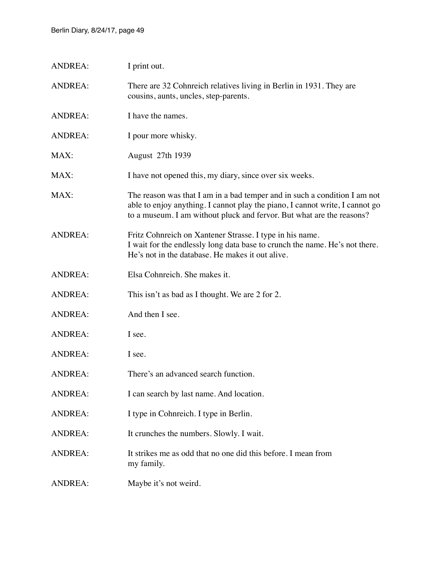| <b>ANDREA:</b> | I print out.                                                                                                                                                                                                                       |
|----------------|------------------------------------------------------------------------------------------------------------------------------------------------------------------------------------------------------------------------------------|
| <b>ANDREA:</b> | There are 32 Cohnreich relatives living in Berlin in 1931. They are<br>cousins, aunts, uncles, step-parents.                                                                                                                       |
| <b>ANDREA:</b> | I have the names.                                                                                                                                                                                                                  |
| <b>ANDREA:</b> | I pour more whisky.                                                                                                                                                                                                                |
| MAX:           | August 27th 1939                                                                                                                                                                                                                   |
| MAX:           | I have not opened this, my diary, since over six weeks.                                                                                                                                                                            |
| MAX:           | The reason was that I am in a bad temper and in such a condition I am not<br>able to enjoy anything. I cannot play the piano, I cannot write, I cannot go<br>to a museum. I am without pluck and fervor. But what are the reasons? |
| <b>ANDREA:</b> | Fritz Cohnreich on Xantener Strasse. I type in his name.<br>I wait for the endlessly long data base to crunch the name. He's not there.<br>He's not in the database. He makes it out alive.                                        |
| <b>ANDREA:</b> | Elsa Cohnreich. She makes it.                                                                                                                                                                                                      |
| <b>ANDREA:</b> | This isn't as bad as I thought. We are 2 for 2.                                                                                                                                                                                    |
| <b>ANDREA:</b> | And then I see.                                                                                                                                                                                                                    |
| <b>ANDREA:</b> | I see.                                                                                                                                                                                                                             |
| <b>ANDREA:</b> | I see.                                                                                                                                                                                                                             |
| <b>ANDREA:</b> | There's an advanced search function.                                                                                                                                                                                               |
| <b>ANDREA:</b> | I can search by last name. And location.                                                                                                                                                                                           |
| <b>ANDREA:</b> | I type in Cohnreich. I type in Berlin.                                                                                                                                                                                             |
| <b>ANDREA:</b> | It crunches the numbers. Slowly. I wait.                                                                                                                                                                                           |
| <b>ANDREA:</b> | It strikes me as odd that no one did this before. I mean from<br>my family.                                                                                                                                                        |
| <b>ANDREA:</b> | Maybe it's not weird.                                                                                                                                                                                                              |
|                |                                                                                                                                                                                                                                    |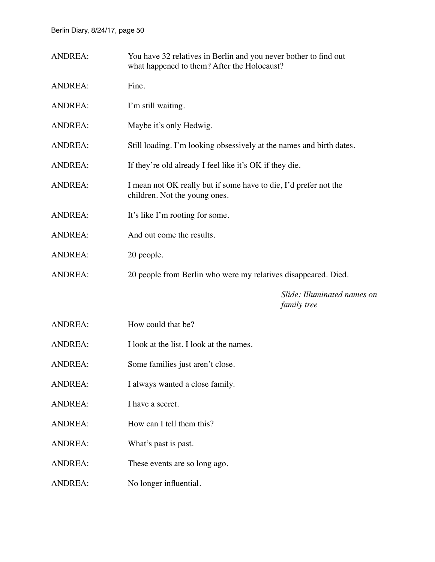| ANDREA:        | You have 32 relatives in Berlin and you never bother to find out<br>what happened to them? After the Holocaust? |
|----------------|-----------------------------------------------------------------------------------------------------------------|
| <b>ANDREA:</b> | Fine.                                                                                                           |
| <b>ANDREA:</b> | I'm still waiting.                                                                                              |
| ANDREA:        | Maybe it's only Hedwig.                                                                                         |
| <b>ANDREA:</b> | Still loading. I'm looking obsessively at the names and birth dates.                                            |
| <b>ANDREA:</b> | If they're old already I feel like it's OK if they die.                                                         |
| <b>ANDREA:</b> | I mean not OK really but if some have to die, I'd prefer not the<br>children. Not the young ones.               |
| ANDREA:        | It's like I'm rooting for some.                                                                                 |
| <b>ANDREA:</b> | And out come the results.                                                                                       |
| <b>ANDREA:</b> | 20 people.                                                                                                      |
| <b>ANDREA:</b> | 20 people from Berlin who were my relatives disappeared. Died.                                                  |
|                | Slide: Illuminated names on<br>family tree                                                                      |

- ANDREA: How could that be?
- ANDREA: I look at the list. I look at the names.
- ANDREA: Some families just aren't close.
- ANDREA: I always wanted a close family.
- ANDREA: I have a secret.
- ANDREA: How can I tell them this?
- ANDREA: What's past is past.
- ANDREA: These events are so long ago.
- ANDREA: No longer influential.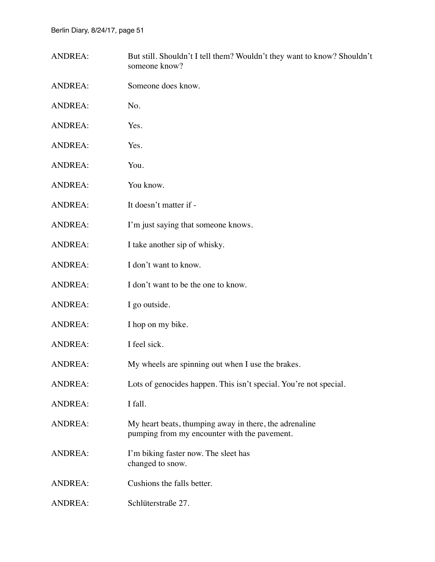ANDREA: But still. Shouldn't I tell them? Wouldn't they want to know? Shouldn't someone know? ANDREA: Someone does know. ANDREA: No. ANDREA: Yes. ANDREA: Yes. ANDREA: You. ANDREA: You know. ANDREA: It doesn't matter if - ANDREA: I'm just saying that someone knows. ANDREA: I take another sip of whisky. ANDREA: I don't want to know. ANDREA: I don't want to be the one to know. ANDREA: I go outside. ANDREA: I hop on my bike. ANDREA: I feel sick. ANDREA: My wheels are spinning out when I use the brakes. ANDREA: Lots of genocides happen. This isn't special. You're not special. ANDREA: I fall. ANDREA: My heart beats, thumping away in there, the adrenaline pumping from my encounter with the pavement. ANDREA: I'm biking faster now. The sleet has changed to snow. ANDREA: Cushions the falls better. ANDREA: Schlüterstraße 27.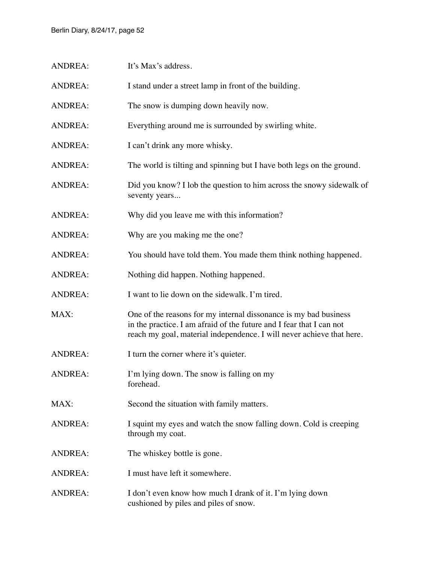| <b>ANDREA:</b> | It's Max's address.                                                                                                                                                                                               |
|----------------|-------------------------------------------------------------------------------------------------------------------------------------------------------------------------------------------------------------------|
| <b>ANDREA:</b> | I stand under a street lamp in front of the building.                                                                                                                                                             |
| <b>ANDREA:</b> | The snow is dumping down heavily now.                                                                                                                                                                             |
| <b>ANDREA:</b> | Everything around me is surrounded by swirling white.                                                                                                                                                             |
| <b>ANDREA:</b> | I can't drink any more whisky.                                                                                                                                                                                    |
| <b>ANDREA:</b> | The world is tilting and spinning but I have both legs on the ground.                                                                                                                                             |
| <b>ANDREA:</b> | Did you know? I lob the question to him across the snowy sidewalk of<br>seventy years                                                                                                                             |
| <b>ANDREA:</b> | Why did you leave me with this information?                                                                                                                                                                       |
| <b>ANDREA:</b> | Why are you making me the one?                                                                                                                                                                                    |
| <b>ANDREA:</b> | You should have told them. You made them think nothing happened.                                                                                                                                                  |
| <b>ANDREA:</b> | Nothing did happen. Nothing happened.                                                                                                                                                                             |
| <b>ANDREA:</b> | I want to lie down on the sidewalk. I'm tired.                                                                                                                                                                    |
| MAX:           | One of the reasons for my internal dissonance is my bad business<br>in the practice. I am afraid of the future and I fear that I can not<br>reach my goal, material independence. I will never achieve that here. |
| <b>ANDREA:</b> | I turn the corner where it's quieter.                                                                                                                                                                             |
| <b>ANDREA:</b> | I'm lying down. The snow is falling on my<br>forehead.                                                                                                                                                            |
| MAX:           | Second the situation with family matters.                                                                                                                                                                         |
| <b>ANDREA:</b> | I squint my eyes and watch the snow falling down. Cold is creeping<br>through my coat.                                                                                                                            |
| <b>ANDREA:</b> | The whiskey bottle is gone.                                                                                                                                                                                       |
| <b>ANDREA:</b> | I must have left it somewhere.                                                                                                                                                                                    |
| <b>ANDREA:</b> | I don't even know how much I drank of it. I'm lying down<br>cushioned by piles and piles of snow.                                                                                                                 |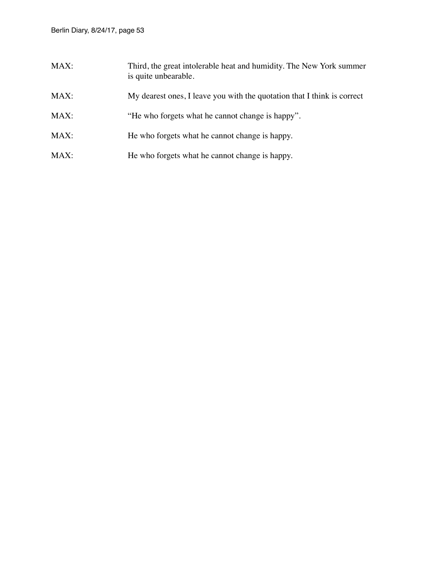| MAX: | Third, the great intolerable heat and humidity. The New York summer<br>is quite unbearable. |
|------|---------------------------------------------------------------------------------------------|
| MAX: | My dearest ones, I leave you with the quotation that I think is correct                     |
| MAX: | "He who forgets what he cannot change is happy".                                            |
| MAX: | He who forgets what he cannot change is happy.                                              |
| MAX: | He who forgets what he cannot change is happy.                                              |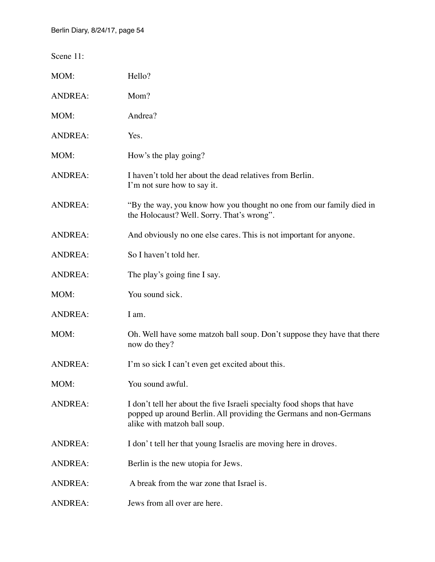Scene 11:

| MOM:           | Hello?                                                                                                                                                                       |
|----------------|------------------------------------------------------------------------------------------------------------------------------------------------------------------------------|
| <b>ANDREA:</b> | Mom?                                                                                                                                                                         |
| MOM:           | Andrea?                                                                                                                                                                      |
| <b>ANDREA:</b> | Yes.                                                                                                                                                                         |
| MOM:           | How's the play going?                                                                                                                                                        |
| <b>ANDREA:</b> | I haven't told her about the dead relatives from Berlin.<br>I'm not sure how to say it.                                                                                      |
| <b>ANDREA:</b> | "By the way, you know how you thought no one from our family died in<br>the Holocaust? Well. Sorry. That's wrong".                                                           |
| <b>ANDREA:</b> | And obviously no one else cares. This is not important for anyone.                                                                                                           |
| <b>ANDREA:</b> | So I haven't told her.                                                                                                                                                       |
| <b>ANDREA:</b> | The play's going fine I say.                                                                                                                                                 |
| MOM:           | You sound sick.                                                                                                                                                              |
| <b>ANDREA:</b> | I am.                                                                                                                                                                        |
| MOM:           | Oh. Well have some matzoh ball soup. Don't suppose they have that there<br>now do they?                                                                                      |
| <b>ANDREA:</b> | I'm so sick I can't even get excited about this.                                                                                                                             |
| MOM:           | You sound awful.                                                                                                                                                             |
| <b>ANDREA:</b> | I don't tell her about the five Israeli specialty food shops that have<br>popped up around Berlin. All providing the Germans and non-Germans<br>alike with matzoh ball soup. |
| <b>ANDREA:</b> | I don't tell her that young Israelis are moving here in droves.                                                                                                              |
| <b>ANDREA:</b> | Berlin is the new utopia for Jews.                                                                                                                                           |
| <b>ANDREA:</b> | A break from the war zone that Israel is.                                                                                                                                    |
| <b>ANDREA:</b> | Jews from all over are here.                                                                                                                                                 |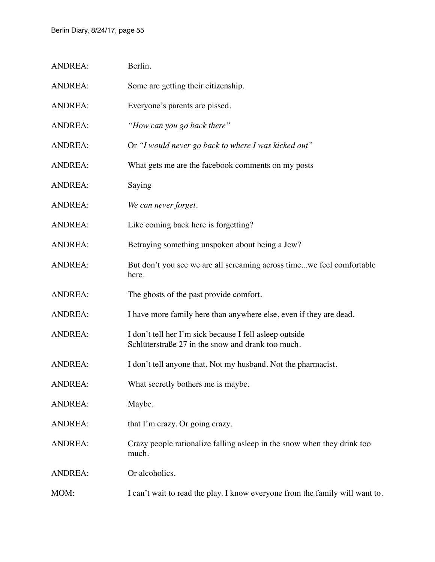| <b>ANDREA:</b> | Berlin.                                                                                                      |
|----------------|--------------------------------------------------------------------------------------------------------------|
| <b>ANDREA:</b> | Some are getting their citizenship.                                                                          |
| <b>ANDREA:</b> | Everyone's parents are pissed.                                                                               |
| <b>ANDREA:</b> | "How can you go back there"                                                                                  |
| <b>ANDREA:</b> | Or "I would never go back to where I was kicked out"                                                         |
| ANDREA:        | What gets me are the facebook comments on my posts                                                           |
| <b>ANDREA:</b> | Saying                                                                                                       |
| <b>ANDREA:</b> | We can never forget.                                                                                         |
| <b>ANDREA:</b> | Like coming back here is forgetting?                                                                         |
| <b>ANDREA:</b> | Betraying something unspoken about being a Jew?                                                              |
| <b>ANDREA:</b> | But don't you see we are all screaming across timewe feel comfortable<br>here.                               |
| <b>ANDREA:</b> | The ghosts of the past provide comfort.                                                                      |
| <b>ANDREA:</b> | I have more family here than anywhere else, even if they are dead.                                           |
| <b>ANDREA:</b> | I don't tell her I'm sick because I fell asleep outside<br>Schlüterstraße 27 in the snow and drank too much. |
| <b>ANDREA:</b> | I don't tell anyone that. Not my husband. Not the pharmacist.                                                |
| <b>ANDREA:</b> | What secretly bothers me is maybe.                                                                           |
| <b>ANDREA:</b> | Maybe.                                                                                                       |
| <b>ANDREA:</b> | that I'm crazy. Or going crazy.                                                                              |
| <b>ANDREA:</b> | Crazy people rationalize falling asleep in the snow when they drink too<br>much.                             |
| <b>ANDREA:</b> | Or alcoholics.                                                                                               |
| MOM:           | I can't wait to read the play. I know everyone from the family will want to.                                 |
|                |                                                                                                              |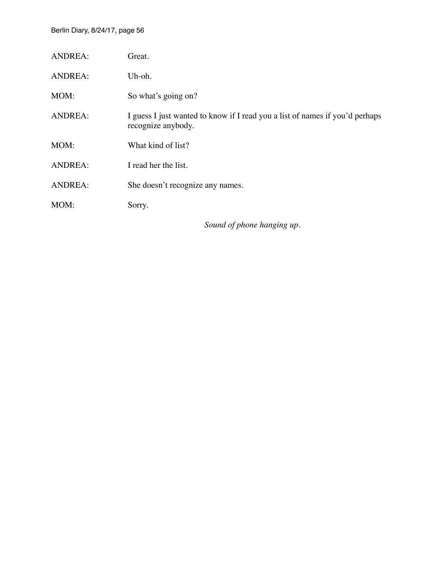| <b>ANDREA:</b> | Great.                                                                                             |
|----------------|----------------------------------------------------------------------------------------------------|
| <b>ANDREA:</b> | Uh-oh.                                                                                             |
| MOM:           | So what's going on?                                                                                |
| <b>ANDREA:</b> | I guess I just wanted to know if I read you a list of names if you'd perhaps<br>recognize anybody. |
|                |                                                                                                    |
| MOM:           | What kind of list?                                                                                 |
| <b>ANDREA:</b> | I read her the list.                                                                               |
| <b>ANDREA:</b> | She doesn't recognize any names.                                                                   |
| MOM:           | Sorry.                                                                                             |

*Sound of phone hanging up.*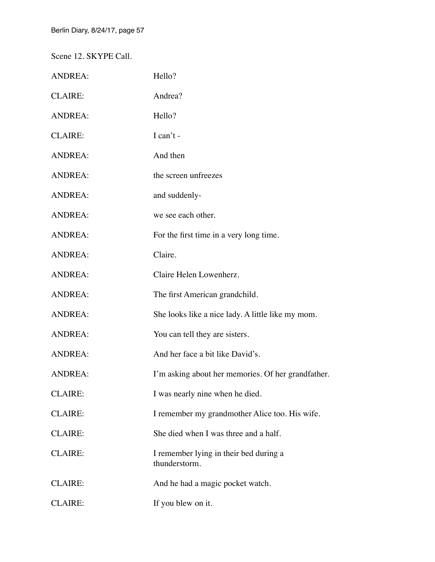Scene 12. SKYPE Call.

| <b>ANDREA:</b> | Hello?                                                  |
|----------------|---------------------------------------------------------|
| <b>CLAIRE:</b> | Andrea?                                                 |
| <b>ANDREA:</b> | Hello?                                                  |
| <b>CLAIRE:</b> | I can't -                                               |
| <b>ANDREA:</b> | And then                                                |
| <b>ANDREA:</b> | the screen unfreezes                                    |
| <b>ANDREA:</b> | and suddenly-                                           |
| <b>ANDREA:</b> | we see each other.                                      |
| <b>ANDREA:</b> | For the first time in a very long time.                 |
| <b>ANDREA:</b> | Claire.                                                 |
| <b>ANDREA:</b> | Claire Helen Lowenherz.                                 |
| <b>ANDREA:</b> | The first American grandchild.                          |
| <b>ANDREA:</b> | She looks like a nice lady. A little like my mom.       |
| <b>ANDREA:</b> | You can tell they are sisters.                          |
| <b>ANDREA:</b> | And her face a bit like David's.                        |
| <b>ANDREA:</b> | I'm asking about her memories. Of her grandfather.      |
| <b>CLAIRE:</b> | I was nearly nine when he died.                         |
| <b>CLAIRE:</b> | I remember my grandmother Alice too. His wife.          |
| <b>CLAIRE:</b> | She died when I was three and a half.                   |
| <b>CLAIRE:</b> | I remember lying in their bed during a<br>thunderstorm. |
| <b>CLAIRE:</b> | And he had a magic pocket watch.                        |
| <b>CLAIRE:</b> | If you blew on it.                                      |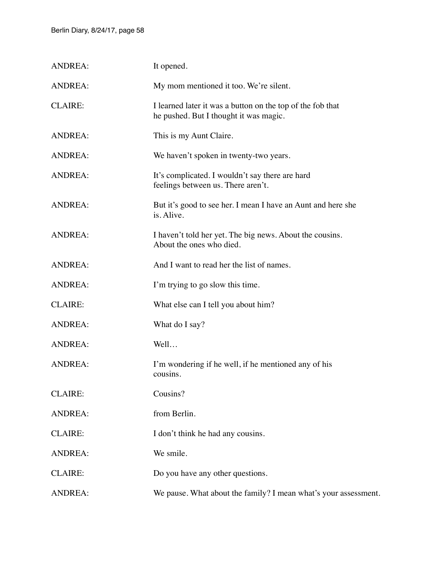| <b>ANDREA:</b> | It opened.                                                                                           |
|----------------|------------------------------------------------------------------------------------------------------|
| <b>ANDREA:</b> | My mom mentioned it too. We're silent.                                                               |
| <b>CLAIRE:</b> | I learned later it was a button on the top of the fob that<br>he pushed. But I thought it was magic. |
| <b>ANDREA:</b> | This is my Aunt Claire.                                                                              |
| <b>ANDREA:</b> | We haven't spoken in twenty-two years.                                                               |
| <b>ANDREA:</b> | It's complicated. I wouldn't say there are hard<br>feelings between us. There aren't.                |
| <b>ANDREA:</b> | But it's good to see her. I mean I have an Aunt and here she<br>is. Alive.                           |
| <b>ANDREA:</b> | I haven't told her yet. The big news. About the cousins.<br>About the ones who died.                 |
| <b>ANDREA:</b> | And I want to read her the list of names.                                                            |
| <b>ANDREA:</b> | I'm trying to go slow this time.                                                                     |
| <b>CLAIRE:</b> | What else can I tell you about him?                                                                  |
| <b>ANDREA:</b> | What do I say?                                                                                       |
| <b>ANDREA:</b> | Well                                                                                                 |
| <b>ANDREA:</b> | I'm wondering if he well, if he mentioned any of his<br>cousins.                                     |
| <b>CLAIRE:</b> | Cousins?                                                                                             |
| <b>ANDREA:</b> | from Berlin.                                                                                         |
| <b>CLAIRE:</b> | I don't think he had any cousins.                                                                    |
| <b>ANDREA:</b> | We smile.                                                                                            |
| <b>CLAIRE:</b> | Do you have any other questions.                                                                     |
| <b>ANDREA:</b> | We pause. What about the family? I mean what's your assessment.                                      |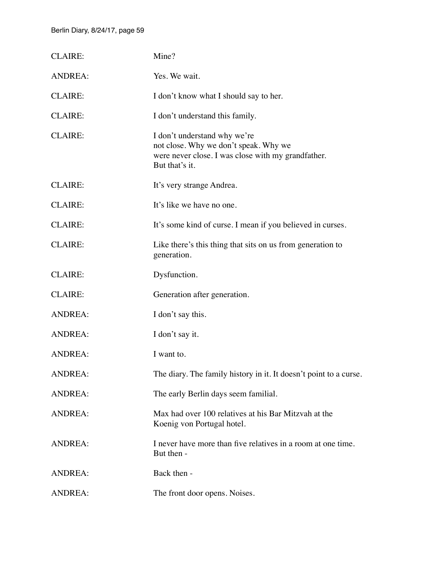| <b>CLAIRE:</b> | Mine?                                                                                                                                         |
|----------------|-----------------------------------------------------------------------------------------------------------------------------------------------|
| <b>ANDREA:</b> | Yes. We wait.                                                                                                                                 |
| <b>CLAIRE:</b> | I don't know what I should say to her.                                                                                                        |
| <b>CLAIRE:</b> | I don't understand this family.                                                                                                               |
| <b>CLAIRE:</b> | I don't understand why we're<br>not close. Why we don't speak. Why we<br>were never close. I was close with my grandfather.<br>But that's it. |
| <b>CLAIRE:</b> | It's very strange Andrea.                                                                                                                     |
| <b>CLAIRE:</b> | It's like we have no one.                                                                                                                     |
| <b>CLAIRE:</b> | It's some kind of curse. I mean if you believed in curses.                                                                                    |
| <b>CLAIRE:</b> | Like there's this thing that sits on us from generation to<br>generation.                                                                     |
| <b>CLAIRE:</b> | Dysfunction.                                                                                                                                  |
| <b>CLAIRE:</b> | Generation after generation.                                                                                                                  |
| <b>ANDREA:</b> | I don't say this.                                                                                                                             |
| <b>ANDREA:</b> | I don't say it.                                                                                                                               |
| <b>ANDREA:</b> | I want to.                                                                                                                                    |
| <b>ANDREA:</b> | The diary. The family history in it. It doesn't point to a curse.                                                                             |
| <b>ANDREA:</b> | The early Berlin days seem familial.                                                                                                          |
| <b>ANDREA:</b> | Max had over 100 relatives at his Bar Mitzvah at the<br>Koenig von Portugal hotel.                                                            |
| <b>ANDREA:</b> | I never have more than five relatives in a room at one time.<br>But then -                                                                    |
| <b>ANDREA:</b> | Back then -                                                                                                                                   |
| <b>ANDREA:</b> | The front door opens. Noises.                                                                                                                 |
|                |                                                                                                                                               |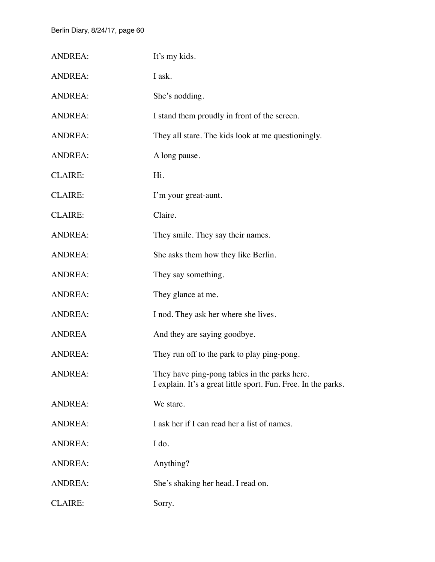| <b>ANDREA:</b> | It's my kids.                                                                                                   |
|----------------|-----------------------------------------------------------------------------------------------------------------|
| <b>ANDREA:</b> | I ask.                                                                                                          |
| <b>ANDREA:</b> | She's nodding.                                                                                                  |
| <b>ANDREA:</b> | I stand them proudly in front of the screen.                                                                    |
| <b>ANDREA:</b> | They all stare. The kids look at me questioningly.                                                              |
| <b>ANDREA:</b> | A long pause.                                                                                                   |
| <b>CLAIRE:</b> | Hi.                                                                                                             |
| <b>CLAIRE:</b> | I'm your great-aunt.                                                                                            |
| <b>CLAIRE:</b> | Claire.                                                                                                         |
| <b>ANDREA:</b> | They smile. They say their names.                                                                               |
| <b>ANDREA:</b> | She asks them how they like Berlin.                                                                             |
| <b>ANDREA:</b> | They say something.                                                                                             |
| <b>ANDREA:</b> | They glance at me.                                                                                              |
| <b>ANDREA:</b> | I nod. They ask her where she lives.                                                                            |
| <b>ANDREA</b>  | And they are saying goodbye.                                                                                    |
| <b>ANDREA:</b> | They run off to the park to play ping-pong.                                                                     |
| <b>ANDREA:</b> | They have ping-pong tables in the parks here.<br>I explain. It's a great little sport. Fun. Free. In the parks. |
| <b>ANDREA:</b> | We stare.                                                                                                       |
| <b>ANDREA:</b> | I ask her if I can read her a list of names.                                                                    |
| <b>ANDREA:</b> | I do.                                                                                                           |
| <b>ANDREA:</b> | Anything?                                                                                                       |
| <b>ANDREA:</b> | She's shaking her head. I read on.                                                                              |
| <b>CLAIRE:</b> | Sorry.                                                                                                          |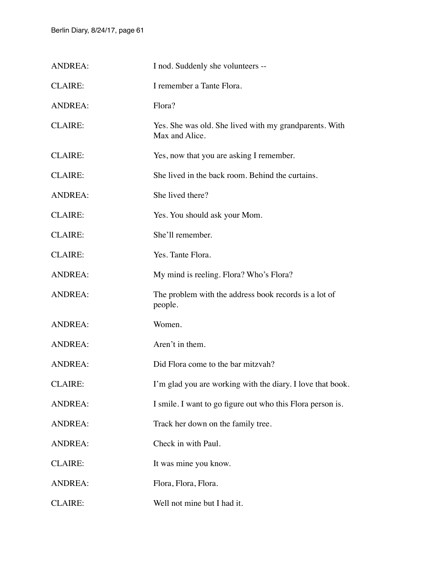| <b>ANDREA:</b> | I nod. Suddenly she volunteers --                                        |
|----------------|--------------------------------------------------------------------------|
| <b>CLAIRE:</b> | I remember a Tante Flora.                                                |
| <b>ANDREA:</b> | Flora?                                                                   |
| <b>CLAIRE:</b> | Yes. She was old. She lived with my grandparents. With<br>Max and Alice. |
| <b>CLAIRE:</b> | Yes, now that you are asking I remember.                                 |
| <b>CLAIRE:</b> | She lived in the back room. Behind the curtains.                         |
| <b>ANDREA:</b> | She lived there?                                                         |
| <b>CLAIRE:</b> | Yes. You should ask your Mom.                                            |
| <b>CLAIRE:</b> | She'll remember.                                                         |
| <b>CLAIRE:</b> | Yes. Tante Flora.                                                        |
| <b>ANDREA:</b> | My mind is reeling. Flora? Who's Flora?                                  |
| <b>ANDREA:</b> | The problem with the address book records is a lot of<br>people.         |
| <b>ANDREA:</b> | Women.                                                                   |
| <b>ANDREA:</b> | Aren't in them.                                                          |
| <b>ANDREA:</b> | Did Flora come to the bar mitzvah?                                       |
| <b>CLAIRE:</b> | I'm glad you are working with the diary. I love that book.               |
| <b>ANDREA:</b> | I smile. I want to go figure out who this Flora person is.               |
| <b>ANDREA:</b> | Track her down on the family tree.                                       |
| <b>ANDREA:</b> | Check in with Paul.                                                      |
| <b>CLAIRE:</b> | It was mine you know.                                                    |
| <b>ANDREA:</b> | Flora, Flora, Flora.                                                     |
| <b>CLAIRE:</b> | Well not mine but I had it.                                              |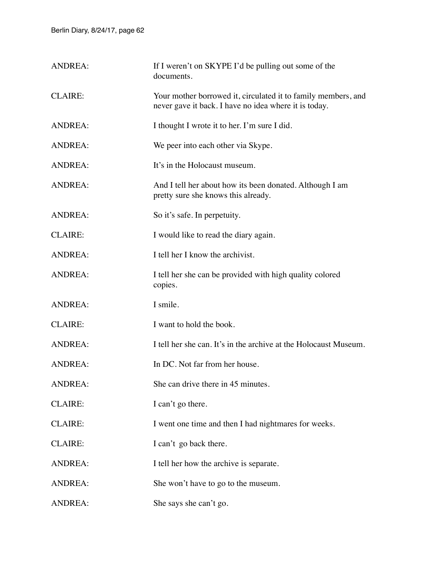| <b>ANDREA:</b> | If I weren't on SKYPE I'd be pulling out some of the<br>documents.                                                     |
|----------------|------------------------------------------------------------------------------------------------------------------------|
| <b>CLAIRE:</b> | Your mother borrowed it, circulated it to family members, and<br>never gave it back. I have no idea where it is today. |
| <b>ANDREA:</b> | I thought I wrote it to her. I'm sure I did.                                                                           |
| <b>ANDREA:</b> | We peer into each other via Skype.                                                                                     |
| <b>ANDREA:</b> | It's in the Holocaust museum.                                                                                          |
| <b>ANDREA:</b> | And I tell her about how its been donated. Although I am<br>pretty sure she knows this already.                        |
| <b>ANDREA:</b> | So it's safe. In perpetuity.                                                                                           |
| <b>CLAIRE:</b> | I would like to read the diary again.                                                                                  |
| <b>ANDREA:</b> | I tell her I know the archivist.                                                                                       |
| <b>ANDREA:</b> | I tell her she can be provided with high quality colored<br>copies.                                                    |
| <b>ANDREA:</b> | I smile.                                                                                                               |
| <b>CLAIRE:</b> | I want to hold the book.                                                                                               |
| <b>ANDREA:</b> | I tell her she can. It's in the archive at the Holocaust Museum.                                                       |
| <b>ANDREA:</b> | In DC. Not far from her house.                                                                                         |
| <b>ANDREA:</b> | She can drive there in 45 minutes.                                                                                     |
| <b>CLAIRE:</b> | I can't go there.                                                                                                      |
| <b>CLAIRE:</b> | I went one time and then I had nightmares for weeks.                                                                   |
| <b>CLAIRE:</b> | I can't go back there.                                                                                                 |
| <b>ANDREA:</b> | I tell her how the archive is separate.                                                                                |
| <b>ANDREA:</b> | She won't have to go to the museum.                                                                                    |
| <b>ANDREA:</b> | She says she can't go.                                                                                                 |
|                |                                                                                                                        |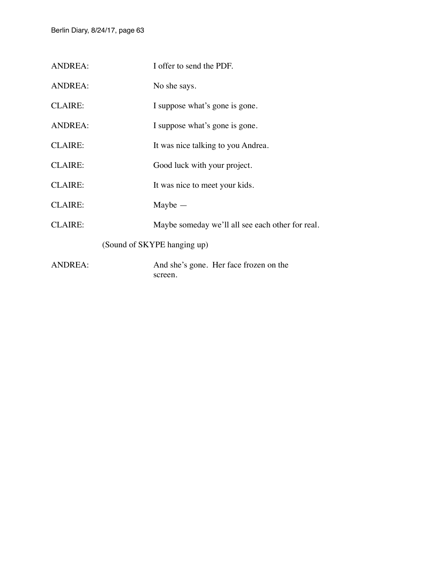| <b>ANDREA:</b> | I offer to send the PDF.                          |
|----------------|---------------------------------------------------|
| <b>ANDREA:</b> | No she says.                                      |
| <b>CLAIRE:</b> | I suppose what's gone is gone.                    |
| <b>ANDREA:</b> | I suppose what's gone is gone.                    |
| <b>CLAIRE:</b> | It was nice talking to you Andrea.                |
| <b>CLAIRE:</b> | Good luck with your project.                      |
| <b>CLAIRE:</b> | It was nice to meet your kids.                    |
| <b>CLAIRE:</b> | Maybe $-$                                         |
| <b>CLAIRE:</b> | Maybe someday we'll all see each other for real.  |
|                | (Sound of SKYPE hanging up)                       |
| <b>ANDREA:</b> | And she's gone. Her face frozen on the<br>screen. |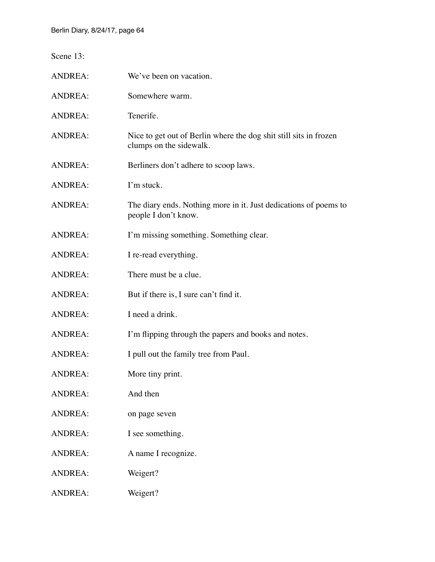Scene 13:

| <b>ANDREA:</b> | We've been on vacation.                                                                      |
|----------------|----------------------------------------------------------------------------------------------|
| <b>ANDREA:</b> | Somewhere warm.                                                                              |
| <b>ANDREA:</b> | Tenerife.                                                                                    |
| <b>ANDREA:</b> | Nice to get out of Berlin where the dog shit still sits in frozen<br>clumps on the sidewalk. |
| <b>ANDREA:</b> | Berliners don't adhere to scoop laws.                                                        |
| <b>ANDREA:</b> | I'm stuck.                                                                                   |
| <b>ANDREA:</b> | The diary ends. Nothing more in it. Just dedications of poems to<br>people I don't know.     |
| <b>ANDREA:</b> | I'm missing something. Something clear.                                                      |
| <b>ANDREA:</b> | I re-read everything.                                                                        |
| <b>ANDREA:</b> | There must be a clue.                                                                        |
| <b>ANDREA:</b> | But if there is, I sure can't find it.                                                       |
| <b>ANDREA:</b> | I need a drink.                                                                              |
| <b>ANDREA:</b> | I'm flipping through the papers and books and notes.                                         |
| <b>ANDREA:</b> | I pull out the family tree from Paul.                                                        |
| <b>ANDREA:</b> | More tiny print.                                                                             |
| <b>ANDREA:</b> | And then                                                                                     |
| <b>ANDREA:</b> | on page seven                                                                                |
| <b>ANDREA:</b> | I see something.                                                                             |
| <b>ANDREA:</b> | A name I recognize.                                                                          |
| <b>ANDREA:</b> | Weigert?                                                                                     |
| <b>ANDREA:</b> | Weigert?                                                                                     |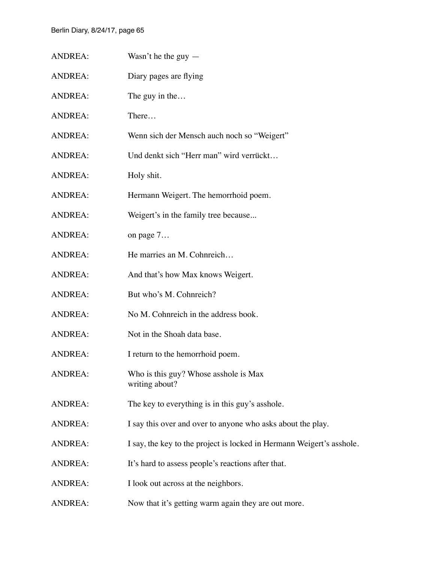- ANDREA: Wasn't he the guy —
- ANDREA: Diary pages are flying
- ANDREA: The guy in the…
- ANDREA: There…
- ANDREA: Wenn sich der Mensch auch noch so "Weigert"
- ANDREA: Und denkt sich "Herr man" wird verrückt…
- ANDREA: Holy shit.
- ANDREA: Hermann Weigert. The hemorrhoid poem.
- ANDREA: Weigert's in the family tree because...
- ANDREA: on page 7…
- ANDREA: He marries an M. Cohnreich…
- ANDREA: And that's how Max knows Weigert.
- ANDREA: But who's M. Cohnreich?
- ANDREA: No M. Cohnreich in the address book.
- ANDREA: Not in the Shoah data base.
- ANDREA: I return to the hemorrhoid poem.
- ANDREA: Who is this guy? Whose asshole is Max writing about?
- ANDREA: The key to everything is in this guy's asshole.
- ANDREA: I say this over and over to anyone who asks about the play.
- ANDREA: I say, the key to the project is locked in Hermann Weigert's asshole.
- ANDREA: It's hard to assess people's reactions after that.
- ANDREA: I look out across at the neighbors.
- ANDREA: Now that it's getting warm again they are out more.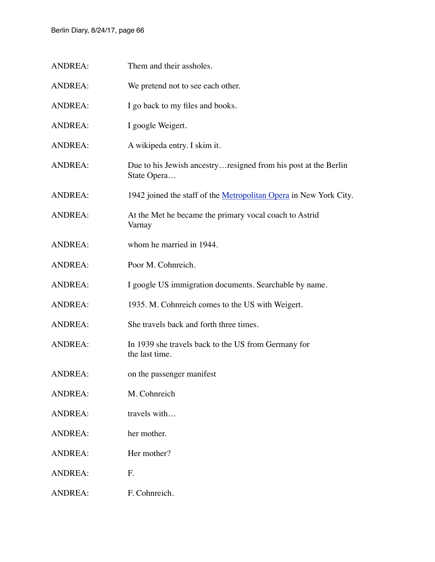| <b>ANDREA:</b> | Them and their assholes.                                                       |
|----------------|--------------------------------------------------------------------------------|
| <b>ANDREA:</b> | We pretend not to see each other.                                              |
| <b>ANDREA:</b> | I go back to my files and books.                                               |
| <b>ANDREA:</b> | I google Weigert.                                                              |
| <b>ANDREA:</b> | A wikipeda entry. I skim it.                                                   |
| <b>ANDREA:</b> | Due to his Jewish ancestry resigned from his post at the Berlin<br>State Opera |
| <b>ANDREA:</b> | 1942 joined the staff of the Metropolitan Opera in New York City.              |
| <b>ANDREA:</b> | At the Met he became the primary vocal coach to Astrid<br>Varnay               |
| <b>ANDREA:</b> | whom he married in 1944.                                                       |
| <b>ANDREA:</b> | Poor M. Cohnreich.                                                             |
| <b>ANDREA:</b> | I google US immigration documents. Searchable by name.                         |
| <b>ANDREA:</b> | 1935. M. Cohnreich comes to the US with Weigert.                               |
| <b>ANDREA:</b> | She travels back and forth three times.                                        |
| <b>ANDREA:</b> | In 1939 she travels back to the US from Germany for<br>the last time.          |
| <b>ANDREA:</b> | on the passenger manifest                                                      |
| <b>ANDREA:</b> | M. Cohnreich                                                                   |
| <b>ANDREA:</b> | travels with                                                                   |
| <b>ANDREA:</b> | her mother.                                                                    |
| <b>ANDREA:</b> | Her mother?                                                                    |
| <b>ANDREA:</b> | F.                                                                             |
| <b>ANDREA:</b> | F. Cohnreich.                                                                  |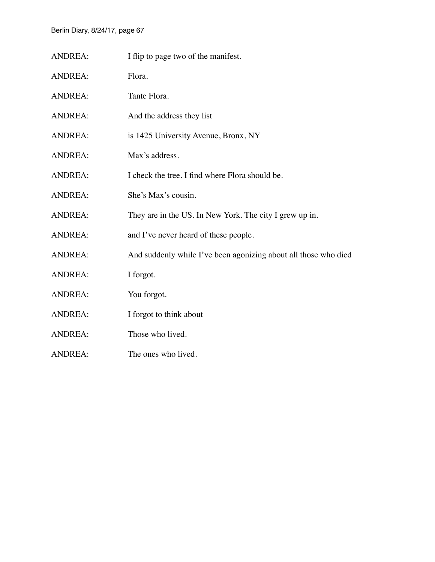- ANDREA: I flip to page two of the manifest.
- ANDREA: Flora.
- ANDREA: Tante Flora.
- ANDREA: And the address they list
- ANDREA: is 1425 University Avenue, Bronx, NY
- ANDREA: Max's address.
- ANDREA: I check the tree. I find where Flora should be.
- ANDREA: She's Max's cousin.
- ANDREA: They are in the US. In New York. The city I grew up in.
- ANDREA: and I've never heard of these people.
- ANDREA: And suddenly while I've been agonizing about all those who died
- ANDREA: I forgot.
- ANDREA: You forgot.
- ANDREA: I forgot to think about
- ANDREA: Those who lived.
- ANDREA: The ones who lived.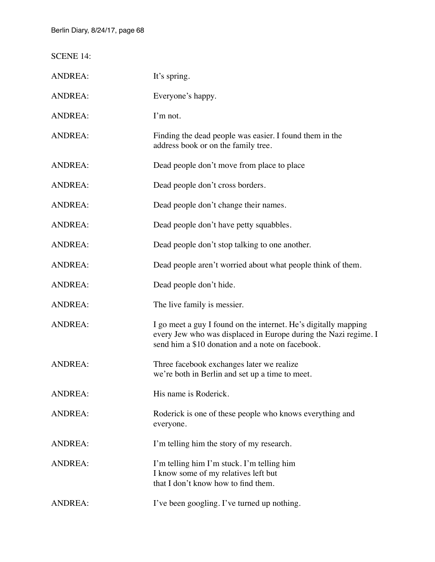SCENE 14:

| <b>ANDREA:</b> | It's spring.                                                                                                                                                                           |
|----------------|----------------------------------------------------------------------------------------------------------------------------------------------------------------------------------------|
| <b>ANDREA:</b> | Everyone's happy.                                                                                                                                                                      |
| <b>ANDREA:</b> | I'm not.                                                                                                                                                                               |
| <b>ANDREA:</b> | Finding the dead people was easier. I found them in the<br>address book or on the family tree.                                                                                         |
| <b>ANDREA:</b> | Dead people don't move from place to place                                                                                                                                             |
| <b>ANDREA:</b> | Dead people don't cross borders.                                                                                                                                                       |
| <b>ANDREA:</b> | Dead people don't change their names.                                                                                                                                                  |
| <b>ANDREA:</b> | Dead people don't have petty squabbles.                                                                                                                                                |
| <b>ANDREA:</b> | Dead people don't stop talking to one another.                                                                                                                                         |
| <b>ANDREA:</b> | Dead people aren't worried about what people think of them.                                                                                                                            |
| <b>ANDREA:</b> | Dead people don't hide.                                                                                                                                                                |
| <b>ANDREA:</b> | The live family is messier.                                                                                                                                                            |
| <b>ANDREA:</b> | I go meet a guy I found on the internet. He's digitally mapping<br>every Jew who was displaced in Europe during the Nazi regime. I<br>send him a \$10 donation and a note on facebook. |
| <b>ANDREA:</b> | Three facebook exchanges later we realize<br>we're both in Berlin and set up a time to meet.                                                                                           |
| <b>ANDREA:</b> | His name is Roderick.                                                                                                                                                                  |
| <b>ANDREA:</b> | Roderick is one of these people who knows everything and<br>everyone.                                                                                                                  |
| <b>ANDREA:</b> | I'm telling him the story of my research.                                                                                                                                              |
| <b>ANDREA:</b> | I'm telling him I'm stuck. I'm telling him<br>I know some of my relatives left but<br>that I don't know how to find them.                                                              |
| <b>ANDREA:</b> | I've been googling. I've turned up nothing.                                                                                                                                            |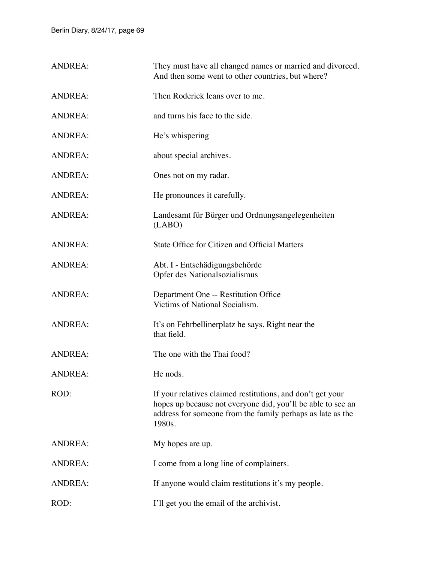| <b>ANDREA:</b> | They must have all changed names or married and divorced.<br>And then some went to other countries, but where?                                                                                    |
|----------------|---------------------------------------------------------------------------------------------------------------------------------------------------------------------------------------------------|
| <b>ANDREA:</b> | Then Roderick leans over to me.                                                                                                                                                                   |
| <b>ANDREA:</b> | and turns his face to the side.                                                                                                                                                                   |
| <b>ANDREA:</b> | He's whispering                                                                                                                                                                                   |
| <b>ANDREA:</b> | about special archives.                                                                                                                                                                           |
| <b>ANDREA:</b> | Ones not on my radar.                                                                                                                                                                             |
| <b>ANDREA:</b> | He pronounces it carefully.                                                                                                                                                                       |
| <b>ANDREA:</b> | Landesamt für Bürger und Ordnungsangelegenheiten<br>(LABO)                                                                                                                                        |
| <b>ANDREA:</b> | State Office for Citizen and Official Matters                                                                                                                                                     |
| <b>ANDREA:</b> | Abt. I - Entschädigungsbehörde<br>Opfer des Nationalsozialismus                                                                                                                                   |
| <b>ANDREA:</b> | Department One -- Restitution Office<br>Victims of National Socialism.                                                                                                                            |
| <b>ANDREA:</b> | It's on Fehrbellinerplatz he says. Right near the<br>that field.                                                                                                                                  |
| <b>ANDREA:</b> | The one with the Thai food?                                                                                                                                                                       |
| <b>ANDREA:</b> | He nods.                                                                                                                                                                                          |
| ROD:           | If your relatives claimed restitutions, and don't get your<br>hopes up because not everyone did, you'll be able to see an<br>address for someone from the family perhaps as late as the<br>1980s. |
| <b>ANDREA:</b> | My hopes are up.                                                                                                                                                                                  |
| <b>ANDREA:</b> | I come from a long line of complainers.                                                                                                                                                           |
| <b>ANDREA:</b> | If anyone would claim restitutions it's my people.                                                                                                                                                |
| ROD:           | I'll get you the email of the archivist.                                                                                                                                                          |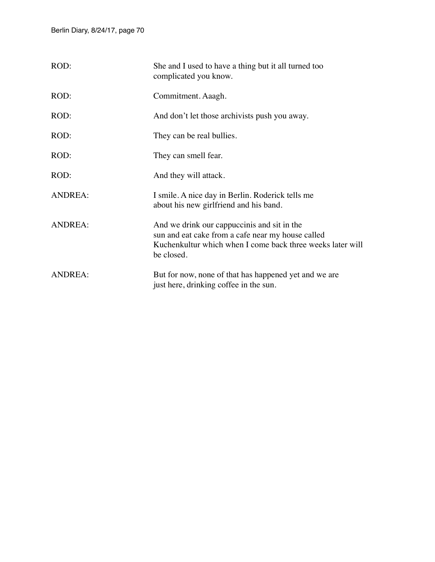| ROD:           | She and I used to have a thing but it all turned too<br>complicated you know.                                                                                                |
|----------------|------------------------------------------------------------------------------------------------------------------------------------------------------------------------------|
| ROD:           | Commitment. Aaagh.                                                                                                                                                           |
| ROD:           | And don't let those archivists push you away.                                                                                                                                |
| ROD:           | They can be real bullies.                                                                                                                                                    |
| ROD:           | They can smell fear.                                                                                                                                                         |
| ROD:           | And they will attack.                                                                                                                                                        |
| <b>ANDREA:</b> | I smile. A nice day in Berlin. Roderick tells me<br>about his new girlfriend and his band.                                                                                   |
| <b>ANDREA:</b> | And we drink our cappuccinis and sit in the<br>sun and eat cake from a cafe near my house called<br>Kuchenkultur which when I come back three weeks later will<br>be closed. |
| <b>ANDREA:</b> | But for now, none of that has happened yet and we are<br>just here, drinking coffee in the sun.                                                                              |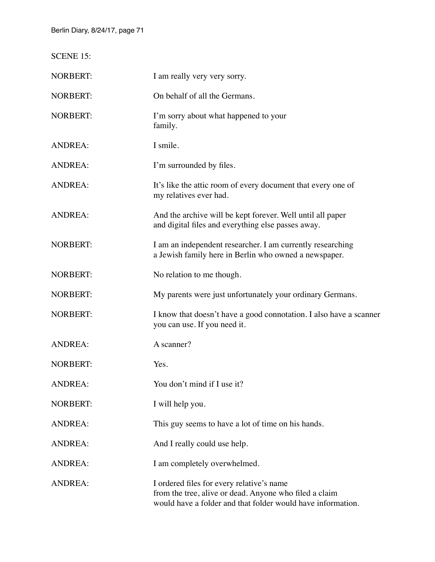SCENE 15:

| <b>NORBERT:</b> | I am really very very sorry.                                                                                                                                       |
|-----------------|--------------------------------------------------------------------------------------------------------------------------------------------------------------------|
| <b>NORBERT:</b> | On behalf of all the Germans.                                                                                                                                      |
| <b>NORBERT:</b> | I'm sorry about what happened to your<br>family.                                                                                                                   |
| <b>ANDREA:</b>  | I smile.                                                                                                                                                           |
| <b>ANDREA:</b>  | I'm surrounded by files.                                                                                                                                           |
| <b>ANDREA:</b>  | It's like the attic room of every document that every one of<br>my relatives ever had.                                                                             |
| <b>ANDREA:</b>  | And the archive will be kept forever. Well until all paper<br>and digital files and everything else passes away.                                                   |
| <b>NORBERT:</b> | I am an independent researcher. I am currently researching<br>a Jewish family here in Berlin who owned a newspaper.                                                |
| <b>NORBERT:</b> | No relation to me though.                                                                                                                                          |
| <b>NORBERT:</b> | My parents were just unfortunately your ordinary Germans.                                                                                                          |
| <b>NORBERT:</b> | I know that doesn't have a good connotation. I also have a scanner<br>you can use. If you need it.                                                                 |
| <b>ANDREA:</b>  | A scanner?                                                                                                                                                         |
| <b>NORBERT:</b> | Yes.                                                                                                                                                               |
| <b>ANDREA:</b>  | You don't mind if I use it?                                                                                                                                        |
| <b>NORBERT:</b> | I will help you.                                                                                                                                                   |
| <b>ANDREA:</b>  | This guy seems to have a lot of time on his hands.                                                                                                                 |
| <b>ANDREA:</b>  | And I really could use help.                                                                                                                                       |
| <b>ANDREA:</b>  | I am completely overwhelmed.                                                                                                                                       |
| <b>ANDREA:</b>  | I ordered files for every relative's name<br>from the tree, alive or dead. Anyone who filed a claim<br>would have a folder and that folder would have information. |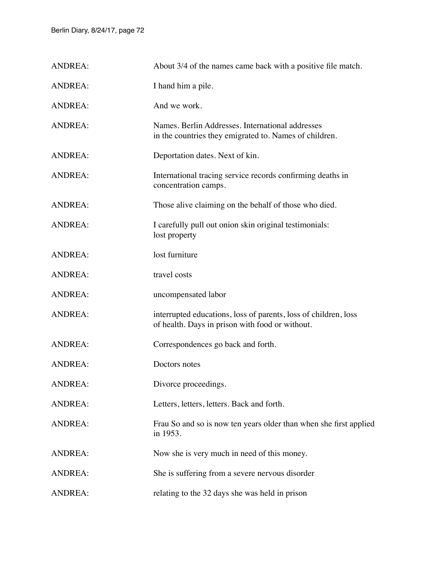| <b>ANDREA:</b> | About 3/4 of the names came back with a positive file match.                                                       |
|----------------|--------------------------------------------------------------------------------------------------------------------|
| <b>ANDREA:</b> | I hand him a pile.                                                                                                 |
| <b>ANDREA:</b> | And we work.                                                                                                       |
| <b>ANDREA:</b> | Names. Berlin Addresses. International addresses<br>in the countries they emigrated to. Names of children.         |
| <b>ANDREA:</b> | Deportation dates. Next of kin.                                                                                    |
| <b>ANDREA:</b> | International tracing service records confirming deaths in<br>concentration camps.                                 |
| <b>ANDREA:</b> | Those alive claiming on the behalf of those who died.                                                              |
| <b>ANDREA:</b> | I carefully pull out onion skin original testimonials:<br>lost property                                            |
| <b>ANDREA:</b> | lost furniture                                                                                                     |
| <b>ANDREA:</b> | travel costs                                                                                                       |
| <b>ANDREA:</b> | uncompensated labor                                                                                                |
| <b>ANDREA:</b> | interrupted educations, loss of parents, loss of children, loss<br>of health. Days in prison with food or without. |
| <b>ANDREA:</b> | Correspondences go back and forth.                                                                                 |
| <b>ANDREA:</b> | Doctors notes                                                                                                      |
| <b>ANDREA:</b> | Divorce proceedings.                                                                                               |
| <b>ANDREA:</b> | Letters, letters, letters. Back and forth.                                                                         |
| <b>ANDREA:</b> | Frau So and so is now ten years older than when she first applied<br>in 1953.                                      |
| <b>ANDREA:</b> | Now she is very much in need of this money.                                                                        |
| <b>ANDREA:</b> | She is suffering from a severe nervous disorder                                                                    |
| <b>ANDREA:</b> | relating to the 32 days she was held in prison                                                                     |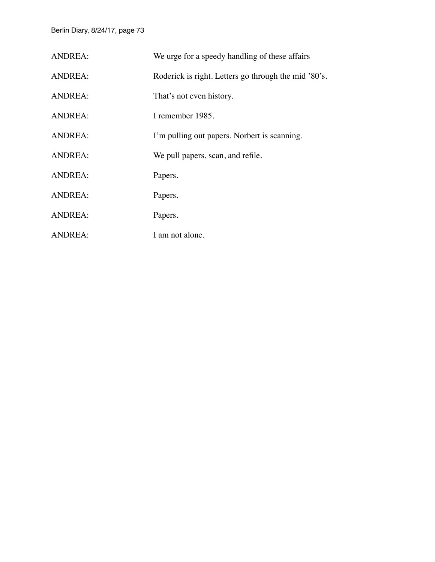| <b>ANDREA:</b> | We urge for a speedy handling of these affairs       |
|----------------|------------------------------------------------------|
| <b>ANDREA:</b> | Roderick is right. Letters go through the mid '80's. |
| <b>ANDREA:</b> | That's not even history.                             |
| <b>ANDREA:</b> | I remember 1985.                                     |
| <b>ANDREA:</b> | I'm pulling out papers. Norbert is scanning.         |
| <b>ANDREA:</b> | We pull papers, scan, and refile.                    |
| <b>ANDREA:</b> | Papers.                                              |
| <b>ANDREA:</b> | Papers.                                              |
| <b>ANDREA:</b> | Papers.                                              |
| <b>ANDREA:</b> | I am not alone.                                      |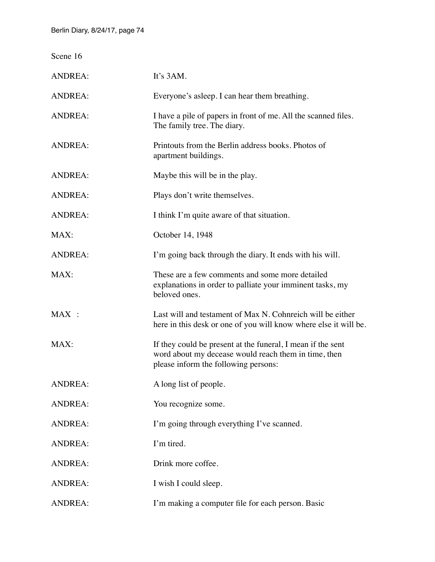Scene 16

| <b>ANDREA:</b> | It's 3AM.                                                                                                                                                   |
|----------------|-------------------------------------------------------------------------------------------------------------------------------------------------------------|
| <b>ANDREA:</b> | Everyone's asleep. I can hear them breathing.                                                                                                               |
| <b>ANDREA:</b> | I have a pile of papers in front of me. All the scanned files.<br>The family tree. The diary.                                                               |
| <b>ANDREA:</b> | Printouts from the Berlin address books. Photos of<br>apartment buildings.                                                                                  |
| <b>ANDREA:</b> | Maybe this will be in the play.                                                                                                                             |
| <b>ANDREA:</b> | Plays don't write themselves.                                                                                                                               |
| <b>ANDREA:</b> | I think I'm quite aware of that situation.                                                                                                                  |
| MAX:           | October 14, 1948                                                                                                                                            |
| <b>ANDREA:</b> | I'm going back through the diary. It ends with his will.                                                                                                    |
| MAX:           | These are a few comments and some more detailed<br>explanations in order to palliate your imminent tasks, my<br>beloved ones.                               |
| MAX:           | Last will and testament of Max N. Cohnreich will be either<br>here in this desk or one of you will know where else it will be.                              |
| MAX:           | If they could be present at the funeral, I mean if the sent<br>word about my decease would reach them in time, then<br>please inform the following persons: |
| <b>ANDREA:</b> | A long list of people.                                                                                                                                      |
| <b>ANDREA:</b> | You recognize some.                                                                                                                                         |
| <b>ANDREA:</b> | I'm going through everything I've scanned.                                                                                                                  |
| <b>ANDREA:</b> | I'm tired.                                                                                                                                                  |
| <b>ANDREA:</b> | Drink more coffee.                                                                                                                                          |
| <b>ANDREA:</b> | I wish I could sleep.                                                                                                                                       |
| <b>ANDREA:</b> | I'm making a computer file for each person. Basic                                                                                                           |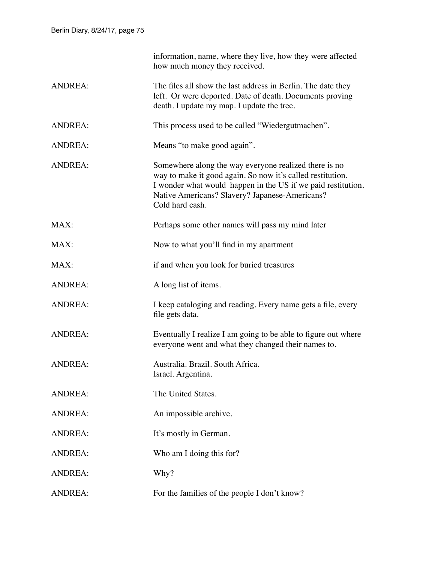|                | information, name, where they live, how they were affected<br>how much money they received.                                                                                                                                                              |
|----------------|----------------------------------------------------------------------------------------------------------------------------------------------------------------------------------------------------------------------------------------------------------|
| <b>ANDREA:</b> | The files all show the last address in Berlin. The date they<br>left. Or were deported. Date of death. Documents proving<br>death. I update my map. I update the tree.                                                                                   |
| <b>ANDREA:</b> | This process used to be called "Wiedergutmachen".                                                                                                                                                                                                        |
| <b>ANDREA:</b> | Means "to make good again".                                                                                                                                                                                                                              |
| <b>ANDREA:</b> | Somewhere along the way everyone realized there is no<br>way to make it good again. So now it's called restitution.<br>I wonder what would happen in the US if we paid restitution.<br>Native Americans? Slavery? Japanese-Americans?<br>Cold hard cash. |
| MAX:           | Perhaps some other names will pass my mind later                                                                                                                                                                                                         |
| MAX:           | Now to what you'll find in my apartment                                                                                                                                                                                                                  |
| MAX:           | if and when you look for buried treasures                                                                                                                                                                                                                |
| <b>ANDREA:</b> | A long list of items.                                                                                                                                                                                                                                    |
| <b>ANDREA:</b> | I keep cataloging and reading. Every name gets a file, every<br>file gets data.                                                                                                                                                                          |
| <b>ANDREA:</b> | Eventually I realize I am going to be able to figure out where<br>everyone went and what they changed their names to.                                                                                                                                    |
| <b>ANDREA:</b> | Australia. Brazil. South Africa.<br>Israel. Argentina.                                                                                                                                                                                                   |
| <b>ANDREA:</b> | The United States.                                                                                                                                                                                                                                       |
| <b>ANDREA:</b> | An impossible archive.                                                                                                                                                                                                                                   |
| <b>ANDREA:</b> | It's mostly in German.                                                                                                                                                                                                                                   |
| <b>ANDREA:</b> | Who am I doing this for?                                                                                                                                                                                                                                 |
| <b>ANDREA:</b> | Why?                                                                                                                                                                                                                                                     |
| <b>ANDREA:</b> | For the families of the people I don't know?                                                                                                                                                                                                             |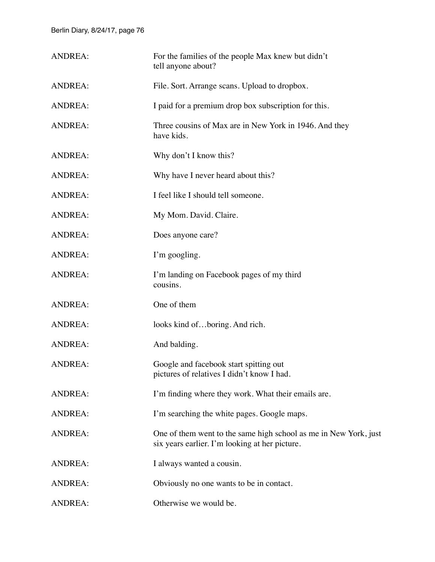| <b>ANDREA:</b> | For the families of the people Max knew but didn't<br>tell anyone about?                                           |
|----------------|--------------------------------------------------------------------------------------------------------------------|
| <b>ANDREA:</b> | File. Sort. Arrange scans. Upload to dropbox.                                                                      |
| <b>ANDREA:</b> | I paid for a premium drop box subscription for this.                                                               |
| <b>ANDREA:</b> | Three cousins of Max are in New York in 1946. And they<br>have kids.                                               |
| <b>ANDREA:</b> | Why don't I know this?                                                                                             |
| <b>ANDREA:</b> | Why have I never heard about this?                                                                                 |
| <b>ANDREA:</b> | I feel like I should tell someone.                                                                                 |
| <b>ANDREA:</b> | My Mom. David. Claire.                                                                                             |
| <b>ANDREA:</b> | Does anyone care?                                                                                                  |
| <b>ANDREA:</b> | I'm googling.                                                                                                      |
| <b>ANDREA:</b> | I'm landing on Facebook pages of my third<br>cousins.                                                              |
| <b>ANDREA:</b> | One of them                                                                                                        |
| <b>ANDREA:</b> | looks kind ofboring. And rich.                                                                                     |
| <b>ANDREA:</b> | And balding.                                                                                                       |
| <b>ANDREA:</b> | Google and facebook start spitting out<br>pictures of relatives I didn't know I had.                               |
| <b>ANDREA:</b> | I'm finding where they work. What their emails are.                                                                |
| <b>ANDREA:</b> | I'm searching the white pages. Google maps.                                                                        |
| <b>ANDREA:</b> | One of them went to the same high school as me in New York, just<br>six years earlier. I'm looking at her picture. |
| <b>ANDREA:</b> | I always wanted a cousin.                                                                                          |
| <b>ANDREA:</b> | Obviously no one wants to be in contact.                                                                           |
| <b>ANDREA:</b> | Otherwise we would be.                                                                                             |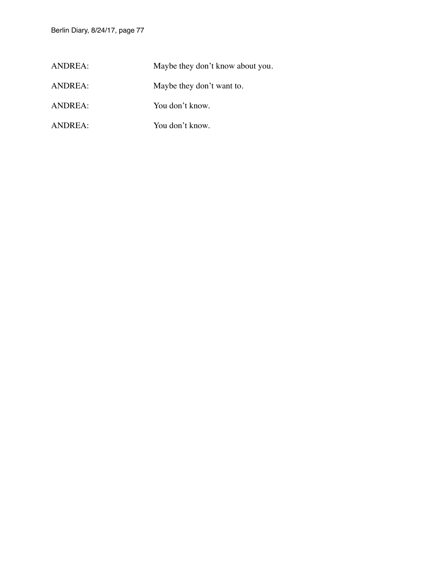| ANDREA:        | Maybe they don't know about you. |
|----------------|----------------------------------|
| ANDREA:        | Maybe they don't want to.        |
| <b>ANDREA:</b> | You don't know.                  |
| ANDREA:        | You don't know.                  |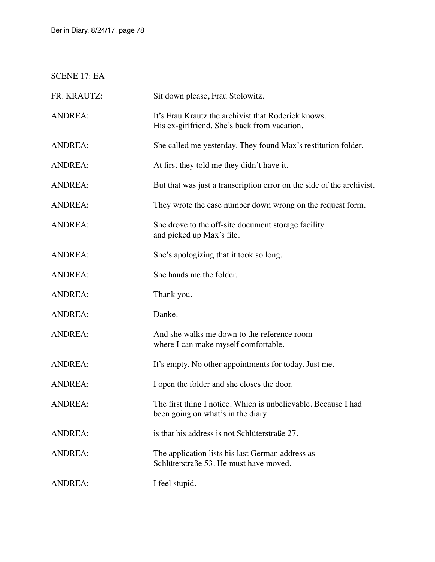SCENE 17: EA

| FR. KRAUTZ:    | Sit down please, Frau Stolowitz.                                                                    |
|----------------|-----------------------------------------------------------------------------------------------------|
| <b>ANDREA:</b> | It's Frau Krautz the archivist that Roderick knows.<br>His ex-girlfriend. She's back from vacation. |
| <b>ANDREA:</b> | She called me yesterday. They found Max's restitution folder.                                       |
| <b>ANDREA:</b> | At first they told me they didn't have it.                                                          |
| <b>ANDREA:</b> | But that was just a transcription error on the side of the archivist.                               |
| <b>ANDREA:</b> | They wrote the case number down wrong on the request form.                                          |
| <b>ANDREA:</b> | She drove to the off-site document storage facility<br>and picked up Max's file.                    |
| <b>ANDREA:</b> | She's apologizing that it took so long.                                                             |
| <b>ANDREA:</b> | She hands me the folder.                                                                            |
| <b>ANDREA:</b> | Thank you.                                                                                          |
| <b>ANDREA:</b> | Danke.                                                                                              |
| <b>ANDREA:</b> | And she walks me down to the reference room<br>where I can make myself comfortable.                 |
| <b>ANDREA:</b> | It's empty. No other appointments for today. Just me.                                               |
| <b>ANDREA:</b> | I open the folder and she closes the door.                                                          |
| <b>ANDREA:</b> | The first thing I notice. Which is unbelievable. Because I had<br>been going on what's in the diary |
| <b>ANDREA:</b> | is that his address is not Schlüterstraße 27.                                                       |
| <b>ANDREA:</b> | The application lists his last German address as<br>Schlüterstraße 53. He must have moved.          |
| <b>ANDREA:</b> | I feel stupid.                                                                                      |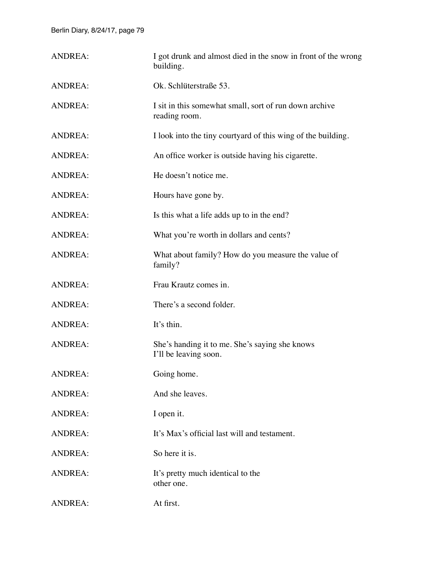| <b>ANDREA:</b> | I got drunk and almost died in the snow in front of the wrong<br>building. |
|----------------|----------------------------------------------------------------------------|
| <b>ANDREA:</b> | Ok. Schlüterstraße 53.                                                     |
| <b>ANDREA:</b> | I sit in this somewhat small, sort of run down archive<br>reading room.    |
| <b>ANDREA:</b> | I look into the tiny courty and of this wing of the building.              |
| <b>ANDREA:</b> | An office worker is outside having his cigarette.                          |
| <b>ANDREA:</b> | He doesn't notice me.                                                      |
| <b>ANDREA:</b> | Hours have gone by.                                                        |
| <b>ANDREA:</b> | Is this what a life adds up to in the end?                                 |
| <b>ANDREA:</b> | What you're worth in dollars and cents?                                    |
| <b>ANDREA:</b> | What about family? How do you measure the value of<br>family?              |
| <b>ANDREA:</b> | Frau Krautz comes in.                                                      |
| <b>ANDREA:</b> | There's a second folder.                                                   |
| <b>ANDREA:</b> | It's thin.                                                                 |
| <b>ANDREA:</b> | She's handing it to me. She's saying she knows<br>I'll be leaving soon.    |
| <b>ANDREA:</b> | Going home.                                                                |
| <b>ANDREA:</b> | And she leaves.                                                            |
| <b>ANDREA:</b> | I open it.                                                                 |
| <b>ANDREA:</b> | It's Max's official last will and testament.                               |
| <b>ANDREA:</b> | So here it is.                                                             |
| <b>ANDREA:</b> | It's pretty much identical to the<br>other one.                            |
| <b>ANDREA:</b> | At first.                                                                  |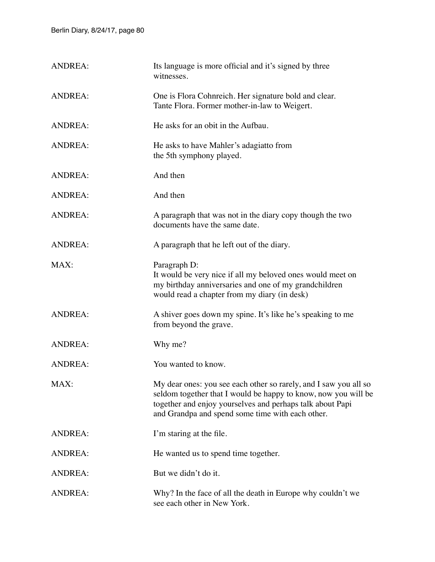| <b>ANDREA:</b> | Its language is more official and it's signed by three<br>witnesses.                                                                                                                                                                                |
|----------------|-----------------------------------------------------------------------------------------------------------------------------------------------------------------------------------------------------------------------------------------------------|
| <b>ANDREA:</b> | One is Flora Cohnreich. Her signature bold and clear.<br>Tante Flora. Former mother-in-law to Weigert.                                                                                                                                              |
| <b>ANDREA:</b> | He asks for an obit in the Aufbau.                                                                                                                                                                                                                  |
| <b>ANDREA:</b> | He asks to have Mahler's adagiatto from<br>the 5th symphony played.                                                                                                                                                                                 |
| <b>ANDREA:</b> | And then                                                                                                                                                                                                                                            |
| <b>ANDREA:</b> | And then                                                                                                                                                                                                                                            |
| <b>ANDREA:</b> | A paragraph that was not in the diary copy though the two<br>documents have the same date.                                                                                                                                                          |
| <b>ANDREA:</b> | A paragraph that he left out of the diary.                                                                                                                                                                                                          |
| MAX:           | Paragraph D:<br>It would be very nice if all my beloved ones would meet on<br>my birthday anniversaries and one of my grandchildren<br>would read a chapter from my diary (in desk)                                                                 |
| <b>ANDREA:</b> | A shiver goes down my spine. It's like he's speaking to me<br>from beyond the grave.                                                                                                                                                                |
| <b>ANDREA:</b> | Why me?                                                                                                                                                                                                                                             |
| <b>ANDREA:</b> | You wanted to know.                                                                                                                                                                                                                                 |
| MAX:           | My dear ones: you see each other so rarely, and I saw you all so<br>seldom together that I would be happy to know, now you will be<br>together and enjoy yourselves and perhaps talk about Papi<br>and Grandpa and spend some time with each other. |
| <b>ANDREA:</b> | I'm staring at the file.                                                                                                                                                                                                                            |
| <b>ANDREA:</b> | He wanted us to spend time together.                                                                                                                                                                                                                |
| <b>ANDREA:</b> | But we didn't do it.                                                                                                                                                                                                                                |
| <b>ANDREA:</b> | Why? In the face of all the death in Europe why couldn't we<br>see each other in New York.                                                                                                                                                          |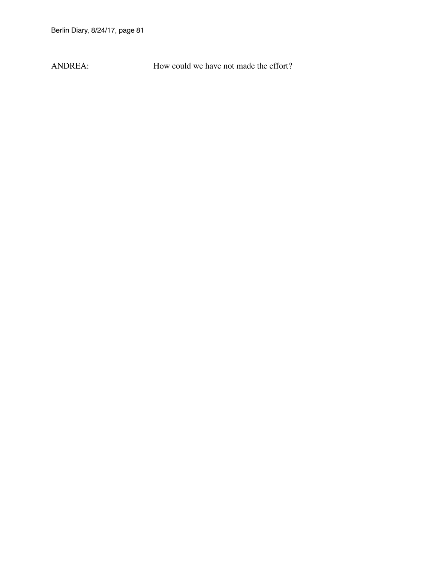Berlin Diary, 8/24/17, page 81

ANDREA: How could we have not made the effort?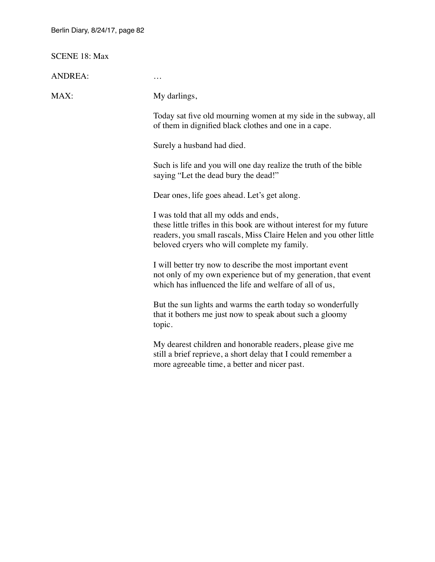| <b>SCENE 18: Max</b> |                                                                                                                                                                                                                                    |
|----------------------|------------------------------------------------------------------------------------------------------------------------------------------------------------------------------------------------------------------------------------|
| <b>ANDREA:</b>       | .                                                                                                                                                                                                                                  |
| MAX:                 | My darlings,                                                                                                                                                                                                                       |
|                      | Today sat five old mourning women at my side in the subway, all<br>of them in dignified black clothes and one in a cape.                                                                                                           |
|                      | Surely a husband had died.                                                                                                                                                                                                         |
|                      | Such is life and you will one day realize the truth of the bible<br>saying "Let the dead bury the dead!"                                                                                                                           |
|                      | Dear ones, life goes ahead. Let's get along.                                                                                                                                                                                       |
|                      | I was told that all my odds and ends,<br>these little trifles in this book are without interest for my future<br>readers, you small rascals, Miss Claire Helen and you other little<br>beloved cryers who will complete my family. |
|                      | I will better try now to describe the most important event<br>not only of my own experience but of my generation, that event<br>which has influenced the life and welfare of all of us,                                            |
|                      | But the sun lights and warms the earth today so wonderfully<br>that it bothers me just now to speak about such a gloomy<br>topic.                                                                                                  |
|                      | My dearest children and honorable readers, please give me<br>still a brief reprieve, a short delay that I could remember a<br>more agreeable time, a better and nicer past.                                                        |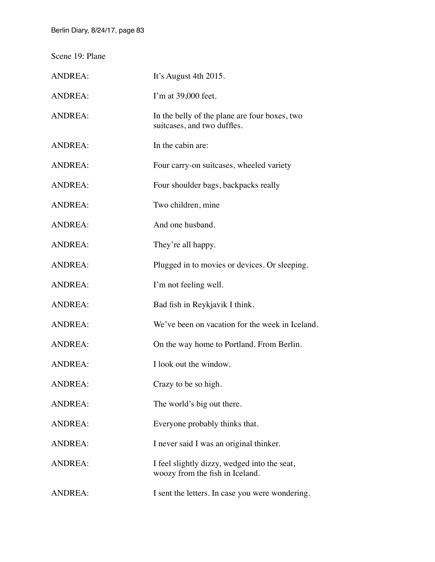Scene 19: Plane

| It's August 4th 2015.                                                           |
|---------------------------------------------------------------------------------|
| I'm at 39,000 feet.                                                             |
| In the belly of the plane are four boxes, two<br>suitcases, and two duffles.    |
| In the cabin are:                                                               |
| Four carry-on suitcases, wheeled variety                                        |
| Four shoulder bags, backpacks really                                            |
| Two children, mine                                                              |
| And one husband.                                                                |
| They're all happy.                                                              |
| Plugged in to movies or devices. Or sleeping.                                   |
| I'm not feeling well.                                                           |
| Bad fish in Reykjavik I think.                                                  |
| We've been on vacation for the week in Iceland.                                 |
| On the way home to Portland. From Berlin.                                       |
| I look out the window.                                                          |
| Crazy to be so high.                                                            |
| The world's big out there.                                                      |
| Everyone probably thinks that.                                                  |
| I never said I was an original thinker.                                         |
| I feel slightly dizzy, wedged into the seat,<br>woozy from the fish in Iceland. |
| I sent the letters. In case you were wondering.                                 |
|                                                                                 |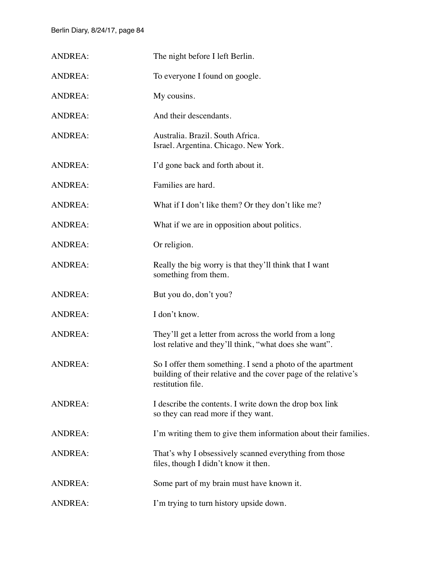| <b>ANDREA:</b> | The night before I left Berlin.                                                                                                                    |
|----------------|----------------------------------------------------------------------------------------------------------------------------------------------------|
| <b>ANDREA:</b> | To everyone I found on google.                                                                                                                     |
| <b>ANDREA:</b> | My cousins.                                                                                                                                        |
| <b>ANDREA:</b> | And their descendants.                                                                                                                             |
| <b>ANDREA:</b> | Australia. Brazil. South Africa.<br>Israel. Argentina. Chicago. New York.                                                                          |
| <b>ANDREA:</b> | I'd gone back and forth about it.                                                                                                                  |
| <b>ANDREA:</b> | Families are hard.                                                                                                                                 |
| <b>ANDREA:</b> | What if I don't like them? Or they don't like me?                                                                                                  |
| <b>ANDREA:</b> | What if we are in opposition about politics.                                                                                                       |
| <b>ANDREA:</b> | Or religion.                                                                                                                                       |
| <b>ANDREA:</b> | Really the big worry is that they'll think that I want<br>something from them.                                                                     |
| <b>ANDREA:</b> | But you do, don't you?                                                                                                                             |
| <b>ANDREA:</b> | I don't know.                                                                                                                                      |
| <b>ANDREA:</b> | They'll get a letter from across the world from a long<br>lost relative and they'll think, "what does she want".                                   |
| <b>ANDREA:</b> | So I offer them something. I send a photo of the apartment<br>building of their relative and the cover page of the relative's<br>restitution file. |
| <b>ANDREA:</b> | I describe the contents. I write down the drop box link<br>so they can read more if they want.                                                     |
| <b>ANDREA:</b> | I'm writing them to give them information about their families.                                                                                    |
| <b>ANDREA:</b> | That's why I obsessively scanned everything from those<br>files, though I didn't know it then.                                                     |
| <b>ANDREA:</b> | Some part of my brain must have known it.                                                                                                          |
| <b>ANDREA:</b> | I'm trying to turn history upside down.                                                                                                            |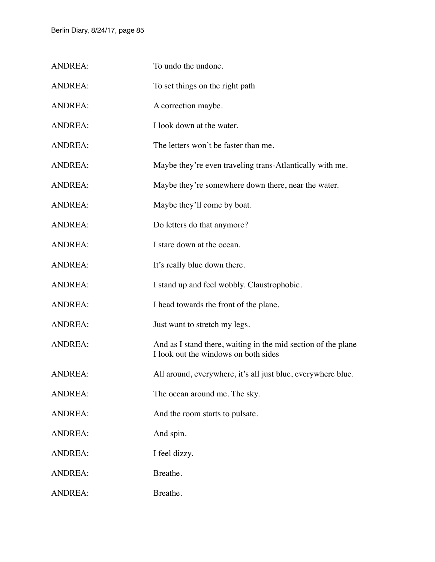| <b>ANDREA:</b> | To undo the undone.                                                                                   |
|----------------|-------------------------------------------------------------------------------------------------------|
| <b>ANDREA:</b> | To set things on the right path                                                                       |
| <b>ANDREA:</b> | A correction maybe.                                                                                   |
| <b>ANDREA:</b> | I look down at the water.                                                                             |
| <b>ANDREA:</b> | The letters won't be faster than me.                                                                  |
| <b>ANDREA:</b> | Maybe they're even traveling trans-Atlantically with me.                                              |
| <b>ANDREA:</b> | Maybe they're somewhere down there, near the water.                                                   |
| <b>ANDREA:</b> | Maybe they'll come by boat.                                                                           |
| <b>ANDREA:</b> | Do letters do that anymore?                                                                           |
| <b>ANDREA:</b> | I stare down at the ocean.                                                                            |
| <b>ANDREA:</b> | It's really blue down there.                                                                          |
| <b>ANDREA:</b> | I stand up and feel wobbly. Claustrophobic.                                                           |
| <b>ANDREA:</b> | I head towards the front of the plane.                                                                |
| <b>ANDREA:</b> | Just want to stretch my legs.                                                                         |
| <b>ANDREA:</b> | And as I stand there, waiting in the mid section of the plane<br>I look out the windows on both sides |
| <b>ANDREA:</b> | All around, everywhere, it's all just blue, everywhere blue.                                          |
| <b>ANDREA:</b> | The ocean around me. The sky.                                                                         |
| <b>ANDREA:</b> | And the room starts to pulsate.                                                                       |
| <b>ANDREA:</b> | And spin.                                                                                             |
| <b>ANDREA:</b> | I feel dizzy.                                                                                         |
| <b>ANDREA:</b> | Breathe.                                                                                              |
| <b>ANDREA:</b> | Breathe.                                                                                              |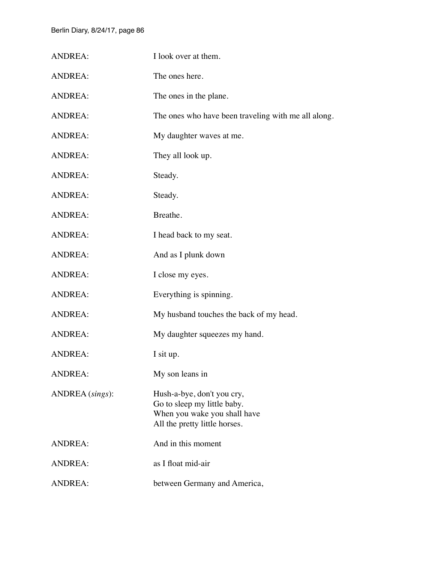| <b>ANDREA:</b>         | I look over at them.                                                                                                       |
|------------------------|----------------------------------------------------------------------------------------------------------------------------|
| <b>ANDREA:</b>         | The ones here.                                                                                                             |
| <b>ANDREA:</b>         | The ones in the plane.                                                                                                     |
| <b>ANDREA:</b>         | The ones who have been traveling with me all along.                                                                        |
| <b>ANDREA:</b>         | My daughter waves at me.                                                                                                   |
| <b>ANDREA:</b>         | They all look up.                                                                                                          |
| <b>ANDREA:</b>         | Steady.                                                                                                                    |
| <b>ANDREA:</b>         | Steady.                                                                                                                    |
| <b>ANDREA:</b>         | Breathe.                                                                                                                   |
| <b>ANDREA:</b>         | I head back to my seat.                                                                                                    |
| <b>ANDREA:</b>         | And as I plunk down                                                                                                        |
| <b>ANDREA:</b>         | I close my eyes.                                                                                                           |
| <b>ANDREA:</b>         | Everything is spinning.                                                                                                    |
| <b>ANDREA:</b>         | My husband touches the back of my head.                                                                                    |
| <b>ANDREA:</b>         | My daughter squeezes my hand.                                                                                              |
| <b>ANDREA:</b>         | I sit up.                                                                                                                  |
| <b>ANDREA:</b>         | My son leans in                                                                                                            |
| <b>ANDREA</b> (sings): | Hush-a-bye, don't you cry,<br>Go to sleep my little baby.<br>When you wake you shall have<br>All the pretty little horses. |
| <b>ANDREA:</b>         | And in this moment                                                                                                         |
| <b>ANDREA:</b>         | as I float mid-air                                                                                                         |
| <b>ANDREA:</b>         | between Germany and America,                                                                                               |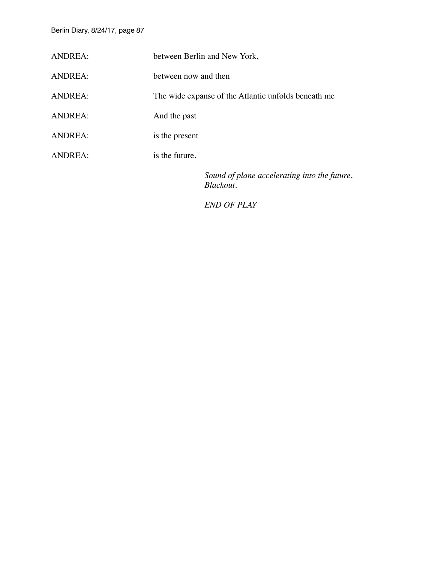| <b>ANDREA:</b> | between Berlin and New York,                              |
|----------------|-----------------------------------------------------------|
| <b>ANDREA:</b> | between now and then                                      |
| <b>ANDREA:</b> | The wide expanse of the Atlantic unfolds beneath me       |
| <b>ANDREA:</b> | And the past                                              |
| <b>ANDREA:</b> | is the present                                            |
| <b>ANDREA:</b> | is the future.                                            |
|                | Sound of plane accelerating into the future.<br>Blackout. |

*END OF PLAY*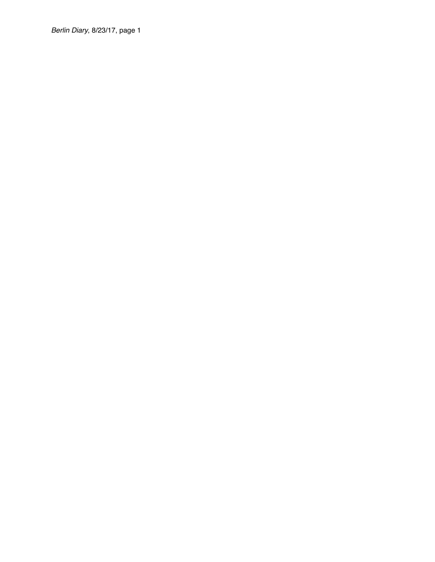*Berlin Diary*, 8/23/17, page 1